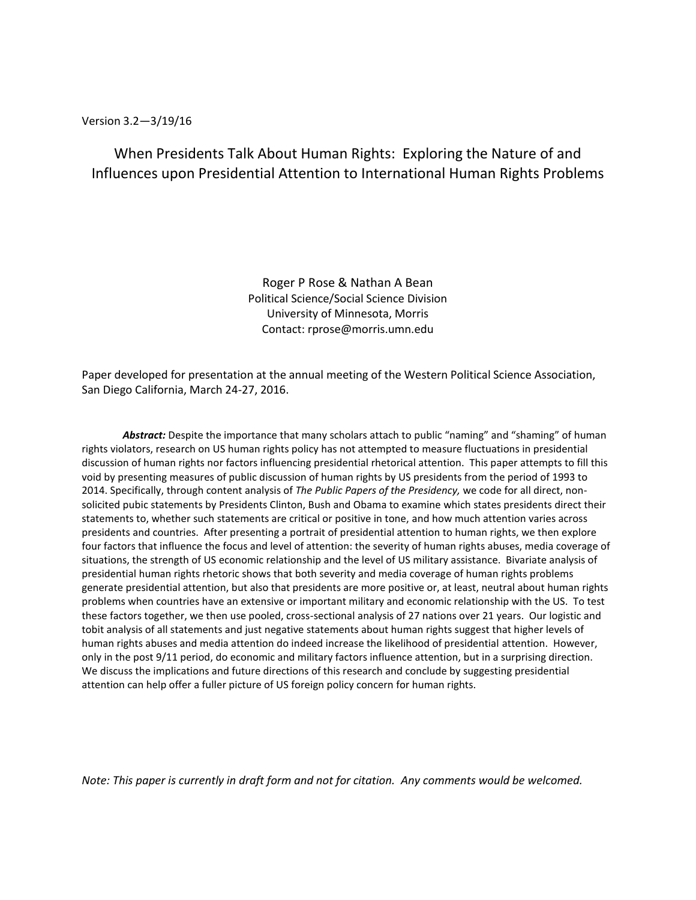### Version 3.2—3/19/16

When Presidents Talk About Human Rights: Exploring the Nature of and Influences upon Presidential Attention to International Human Rights Problems

> Roger P Rose & Nathan A Bean Political Science/Social Science Division University of Minnesota, Morris Contact: rprose@morris.umn.edu

Paper developed for presentation at the annual meeting of the Western Political Science Association, San Diego California, March 24-27, 2016.

Abstract: Despite the importance that many scholars attach to public "naming" and "shaming" of human rights violators, research on US human rights policy has not attempted to measure fluctuations in presidential discussion of human rights nor factors influencing presidential rhetorical attention. This paper attempts to fill this void by presenting measures of public discussion of human rights by US presidents from the period of 1993 to 2014. Specifically, through content analysis of *The Public Papers of the Presidency,* we code for all direct, nonsolicited pubic statements by Presidents Clinton, Bush and Obama to examine which states presidents direct their statements to, whether such statements are critical or positive in tone, and how much attention varies across presidents and countries. After presenting a portrait of presidential attention to human rights, we then explore four factors that influence the focus and level of attention: the severity of human rights abuses, media coverage of situations, the strength of US economic relationship and the level of US military assistance. Bivariate analysis of presidential human rights rhetoric shows that both severity and media coverage of human rights problems generate presidential attention, but also that presidents are more positive or, at least, neutral about human rights problems when countries have an extensive or important military and economic relationship with the US. To test these factors together, we then use pooled, cross-sectional analysis of 27 nations over 21 years. Our logistic and tobit analysis of all statements and just negative statements about human rights suggest that higher levels of human rights abuses and media attention do indeed increase the likelihood of presidential attention. However, only in the post 9/11 period, do economic and military factors influence attention, but in a surprising direction. We discuss the implications and future directions of this research and conclude by suggesting presidential attention can help offer a fuller picture of US foreign policy concern for human rights.

*Note: This paper is currently in draft form and not for citation. Any comments would be welcomed.*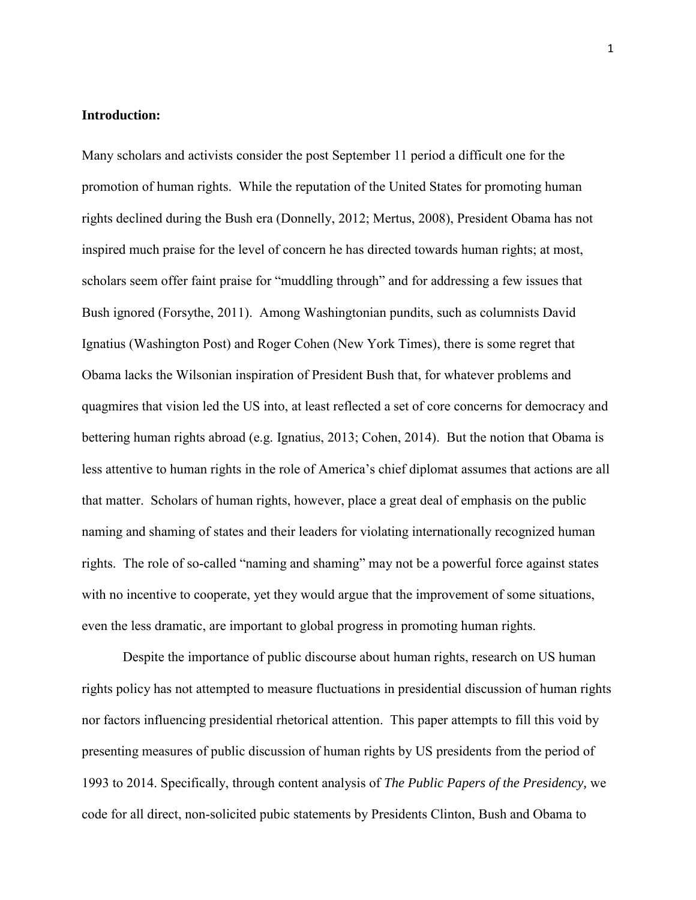### **Introduction:**

Many scholars and activists consider the post September 11 period a difficult one for the promotion of human rights. While the reputation of the United States for promoting human rights declined during the Bush era (Donnelly, 2012; Mertus, 2008), President Obama has not inspired much praise for the level of concern he has directed towards human rights; at most, scholars seem offer faint praise for "muddling through" and for addressing a few issues that Bush ignored (Forsythe, 2011). Among Washingtonian pundits, such as columnists David Ignatius (Washington Post) and Roger Cohen (New York Times), there is some regret that Obama lacks the Wilsonian inspiration of President Bush that, for whatever problems and quagmires that vision led the US into, at least reflected a set of core concerns for democracy and bettering human rights abroad (e.g. Ignatius, 2013; Cohen, 2014). But the notion that Obama is less attentive to human rights in the role of America's chief diplomat assumes that actions are all that matter. Scholars of human rights, however, place a great deal of emphasis on the public naming and shaming of states and their leaders for violating internationally recognized human rights. The role of so-called "naming and shaming" may not be a powerful force against states with no incentive to cooperate, yet they would argue that the improvement of some situations, even the less dramatic, are important to global progress in promoting human rights.

Despite the importance of public discourse about human rights, research on US human rights policy has not attempted to measure fluctuations in presidential discussion of human rights nor factors influencing presidential rhetorical attention. This paper attempts to fill this void by presenting measures of public discussion of human rights by US presidents from the period of 1993 to 2014. Specifically, through content analysis of *The Public Papers of the Presidency,* we code for all direct, non-solicited pubic statements by Presidents Clinton, Bush and Obama to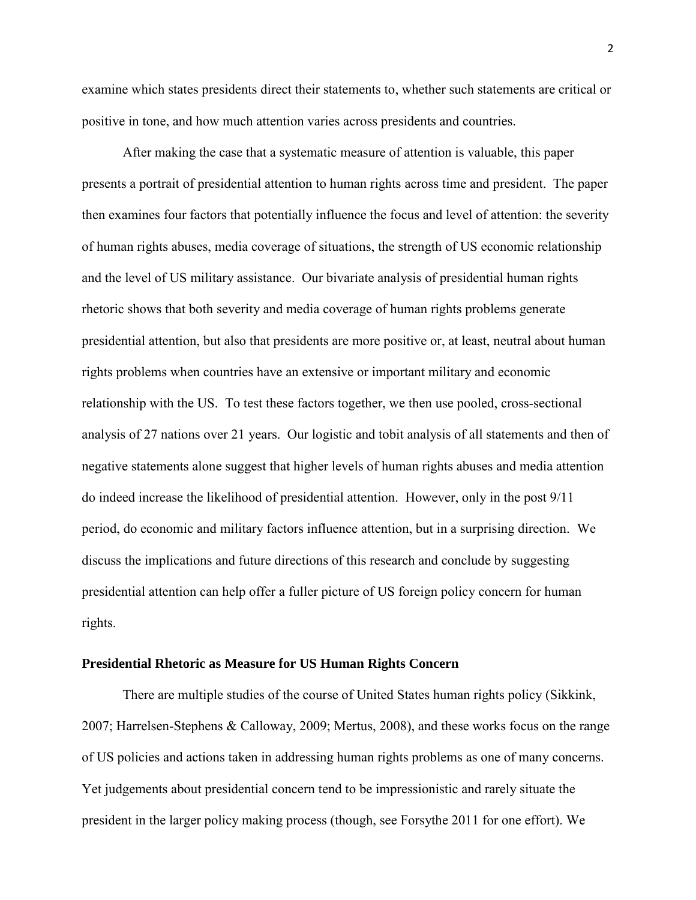examine which states presidents direct their statements to, whether such statements are critical or positive in tone, and how much attention varies across presidents and countries.

After making the case that a systematic measure of attention is valuable, this paper presents a portrait of presidential attention to human rights across time and president. The paper then examines four factors that potentially influence the focus and level of attention: the severity of human rights abuses, media coverage of situations, the strength of US economic relationship and the level of US military assistance. Our bivariate analysis of presidential human rights rhetoric shows that both severity and media coverage of human rights problems generate presidential attention, but also that presidents are more positive or, at least, neutral about human rights problems when countries have an extensive or important military and economic relationship with the US. To test these factors together, we then use pooled, cross-sectional analysis of 27 nations over 21 years. Our logistic and tobit analysis of all statements and then of negative statements alone suggest that higher levels of human rights abuses and media attention do indeed increase the likelihood of presidential attention. However, only in the post 9/11 period, do economic and military factors influence attention, but in a surprising direction. We discuss the implications and future directions of this research and conclude by suggesting presidential attention can help offer a fuller picture of US foreign policy concern for human rights.

#### **Presidential Rhetoric as Measure for US Human Rights Concern**

 There are multiple studies of the course of United States human rights policy (Sikkink, 2007; Harrelsen-Stephens & Calloway, 2009; Mertus, 2008), and these works focus on the range of US policies and actions taken in addressing human rights problems as one of many concerns. Yet judgements about presidential concern tend to be impressionistic and rarely situate the president in the larger policy making process (though, see Forsythe 2011 for one effort). We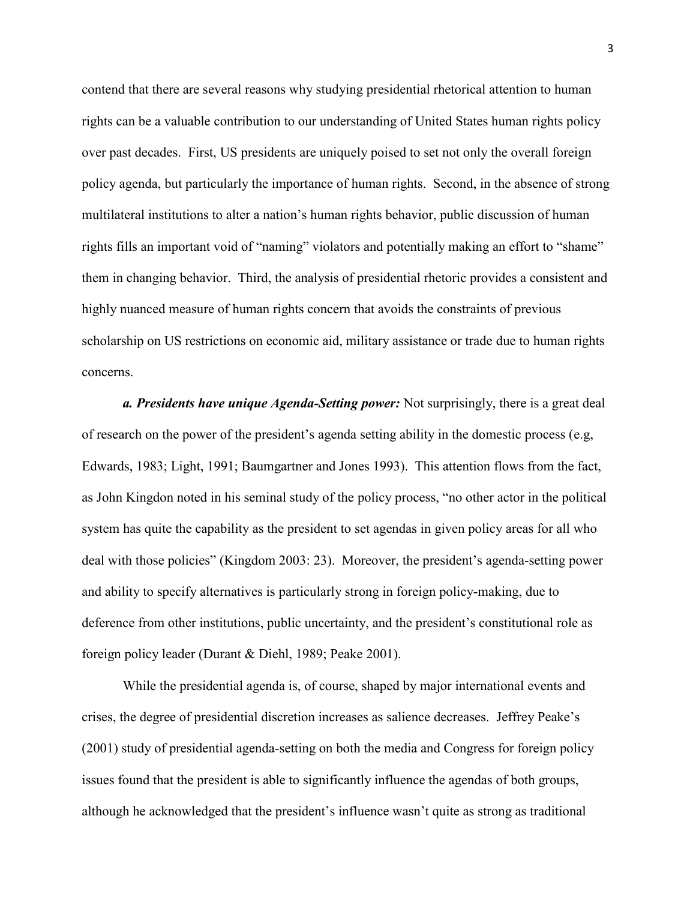contend that there are several reasons why studying presidential rhetorical attention to human rights can be a valuable contribution to our understanding of United States human rights policy over past decades. First, US presidents are uniquely poised to set not only the overall foreign policy agenda, but particularly the importance of human rights. Second, in the absence of strong multilateral institutions to alter a nation's human rights behavior, public discussion of human rights fills an important void of "naming" violators and potentially making an effort to "shame" them in changing behavior. Third, the analysis of presidential rhetoric provides a consistent and highly nuanced measure of human rights concern that avoids the constraints of previous scholarship on US restrictions on economic aid, military assistance or trade due to human rights concerns.

*a. Presidents have unique Agenda-Setting power:* Not surprisingly, there is a great deal of research on the power of the president's agenda setting ability in the domestic process (e.g, Edwards, 1983; Light, 1991; Baumgartner and Jones 1993). This attention flows from the fact, as John Kingdon noted in his seminal study of the policy process, "no other actor in the political system has quite the capability as the president to set agendas in given policy areas for all who deal with those policies" (Kingdom 2003: 23). Moreover, the president's agenda-setting power and ability to specify alternatives is particularly strong in foreign policy-making, due to deference from other institutions, public uncertainty, and the president's constitutional role as foreign policy leader (Durant & Diehl, 1989; Peake 2001).

While the presidential agenda is, of course, shaped by major international events and crises, the degree of presidential discretion increases as salience decreases. Jeffrey Peake's (2001) study of presidential agenda-setting on both the media and Congress for foreign policy issues found that the president is able to significantly influence the agendas of both groups, although he acknowledged that the president's influence wasn't quite as strong as traditional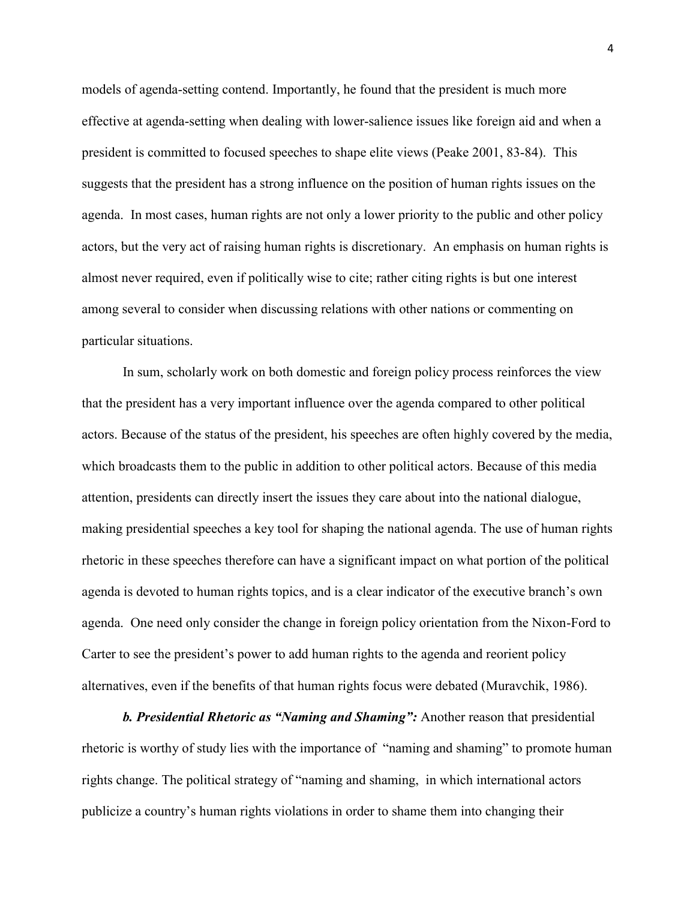models of agenda-setting contend. Importantly, he found that the president is much more effective at agenda-setting when dealing with lower-salience issues like foreign aid and when a president is committed to focused speeches to shape elite views (Peake 2001, 83-84). This suggests that the president has a strong influence on the position of human rights issues on the agenda. In most cases, human rights are not only a lower priority to the public and other policy actors, but the very act of raising human rights is discretionary. An emphasis on human rights is almost never required, even if politically wise to cite; rather citing rights is but one interest among several to consider when discussing relations with other nations or commenting on particular situations.

In sum, scholarly work on both domestic and foreign policy process reinforces the view that the president has a very important influence over the agenda compared to other political actors. Because of the status of the president, his speeches are often highly covered by the media, which broadcasts them to the public in addition to other political actors. Because of this media attention, presidents can directly insert the issues they care about into the national dialogue, making presidential speeches a key tool for shaping the national agenda. The use of human rights rhetoric in these speeches therefore can have a significant impact on what portion of the political agenda is devoted to human rights topics, and is a clear indicator of the executive branch's own agenda. One need only consider the change in foreign policy orientation from the Nixon-Ford to Carter to see the president's power to add human rights to the agenda and reorient policy alternatives, even if the benefits of that human rights focus were debated (Muravchik, 1986).

*b. Presidential Rhetoric as "Naming and Shaming":* Another reason that presidential rhetoric is worthy of study lies with the importance of "naming and shaming" to promote human rights change. The political strategy of "naming and shaming, in which international actors publicize a country's human rights violations in order to shame them into changing their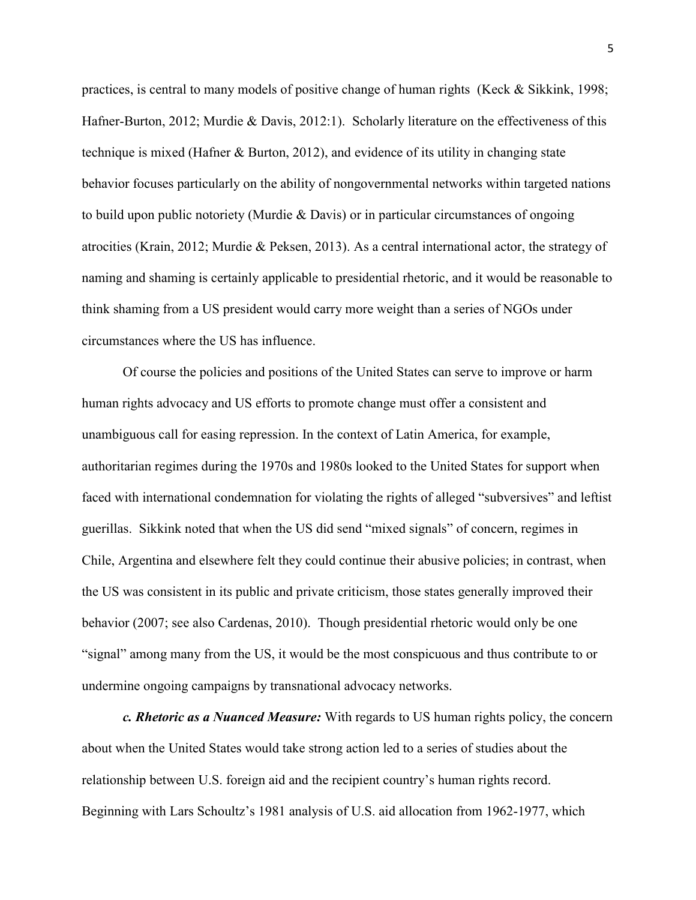practices, is central to many models of positive change of human rights (Keck & Sikkink, 1998; Hafner-Burton, 2012; Murdie & Davis, 2012:1). Scholarly literature on the effectiveness of this technique is mixed (Hafner & Burton, 2012), and evidence of its utility in changing state behavior focuses particularly on the ability of nongovernmental networks within targeted nations to build upon public notoriety (Murdie & Davis) or in particular circumstances of ongoing atrocities (Krain, 2012; Murdie & Peksen, 2013). As a central international actor, the strategy of naming and shaming is certainly applicable to presidential rhetoric, and it would be reasonable to think shaming from a US president would carry more weight than a series of NGOs under circumstances where the US has influence.

Of course the policies and positions of the United States can serve to improve or harm human rights advocacy and US efforts to promote change must offer a consistent and unambiguous call for easing repression. In the context of Latin America, for example, authoritarian regimes during the 1970s and 1980s looked to the United States for support when faced with international condemnation for violating the rights of alleged "subversives" and leftist guerillas. Sikkink noted that when the US did send "mixed signals" of concern, regimes in Chile, Argentina and elsewhere felt they could continue their abusive policies; in contrast, when the US was consistent in its public and private criticism, those states generally improved their behavior (2007; see also Cardenas, 2010). Though presidential rhetoric would only be one "signal" among many from the US, it would be the most conspicuous and thus contribute to or undermine ongoing campaigns by transnational advocacy networks.

*c. Rhetoric as a Nuanced Measure:* With regards to US human rights policy, the concern about when the United States would take strong action led to a series of studies about the relationship between U.S. foreign aid and the recipient country's human rights record. Beginning with Lars Schoultz's 1981 analysis of U.S. aid allocation from 1962-1977, which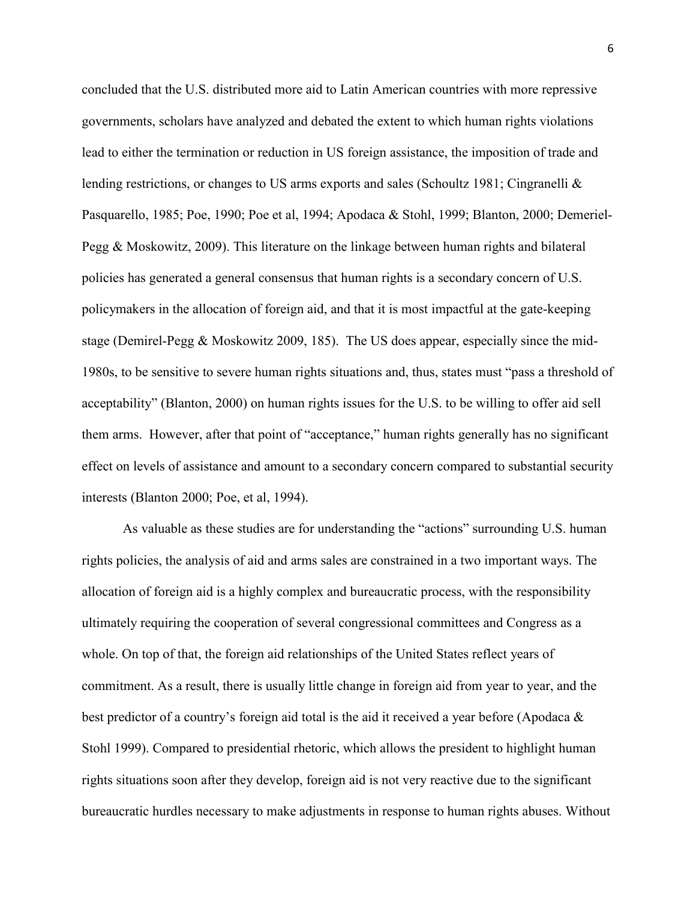concluded that the U.S. distributed more aid to Latin American countries with more repressive governments, scholars have analyzed and debated the extent to which human rights violations lead to either the termination or reduction in US foreign assistance, the imposition of trade and lending restrictions, or changes to US arms exports and sales (Schoultz 1981; Cingranelli & Pasquarello, 1985; Poe, 1990; Poe et al, 1994; Apodaca & Stohl, 1999; Blanton, 2000; Demeriel-Pegg & Moskowitz, 2009). This literature on the linkage between human rights and bilateral policies has generated a general consensus that human rights is a secondary concern of U.S. policymakers in the allocation of foreign aid, and that it is most impactful at the gate-keeping stage (Demirel-Pegg & Moskowitz 2009, 185). The US does appear, especially since the mid-1980s, to be sensitive to severe human rights situations and, thus, states must "pass a threshold of acceptability" (Blanton, 2000) on human rights issues for the U.S. to be willing to offer aid sell them arms. However, after that point of "acceptance," human rights generally has no significant effect on levels of assistance and amount to a secondary concern compared to substantial security interests (Blanton 2000; Poe, et al, 1994).

As valuable as these studies are for understanding the "actions" surrounding U.S. human rights policies, the analysis of aid and arms sales are constrained in a two important ways. The allocation of foreign aid is a highly complex and bureaucratic process, with the responsibility ultimately requiring the cooperation of several congressional committees and Congress as a whole. On top of that, the foreign aid relationships of the United States reflect years of commitment. As a result, there is usually little change in foreign aid from year to year, and the best predictor of a country's foreign aid total is the aid it received a year before (Apodaca & Stohl 1999). Compared to presidential rhetoric, which allows the president to highlight human rights situations soon after they develop, foreign aid is not very reactive due to the significant bureaucratic hurdles necessary to make adjustments in response to human rights abuses. Without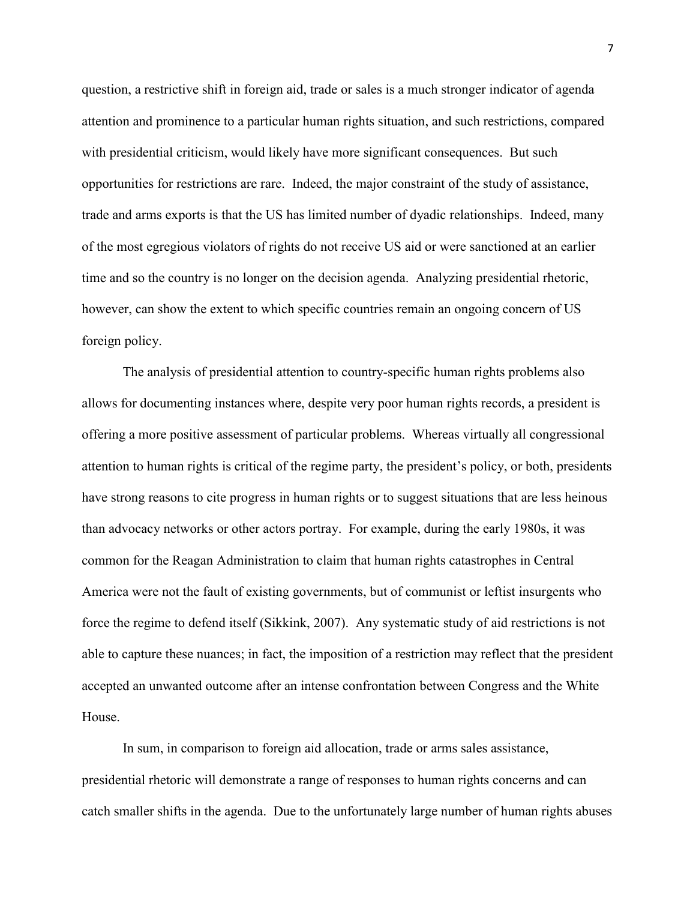question, a restrictive shift in foreign aid, trade or sales is a much stronger indicator of agenda attention and prominence to a particular human rights situation, and such restrictions, compared with presidential criticism, would likely have more significant consequences. But such opportunities for restrictions are rare. Indeed, the major constraint of the study of assistance, trade and arms exports is that the US has limited number of dyadic relationships. Indeed, many of the most egregious violators of rights do not receive US aid or were sanctioned at an earlier time and so the country is no longer on the decision agenda. Analyzing presidential rhetoric, however, can show the extent to which specific countries remain an ongoing concern of US foreign policy.

The analysis of presidential attention to country-specific human rights problems also allows for documenting instances where, despite very poor human rights records, a president is offering a more positive assessment of particular problems. Whereas virtually all congressional attention to human rights is critical of the regime party, the president's policy, or both, presidents have strong reasons to cite progress in human rights or to suggest situations that are less heinous than advocacy networks or other actors portray. For example, during the early 1980s, it was common for the Reagan Administration to claim that human rights catastrophes in Central America were not the fault of existing governments, but of communist or leftist insurgents who force the regime to defend itself (Sikkink, 2007). Any systematic study of aid restrictions is not able to capture these nuances; in fact, the imposition of a restriction may reflect that the president accepted an unwanted outcome after an intense confrontation between Congress and the White House.

In sum, in comparison to foreign aid allocation, trade or arms sales assistance, presidential rhetoric will demonstrate a range of responses to human rights concerns and can catch smaller shifts in the agenda. Due to the unfortunately large number of human rights abuses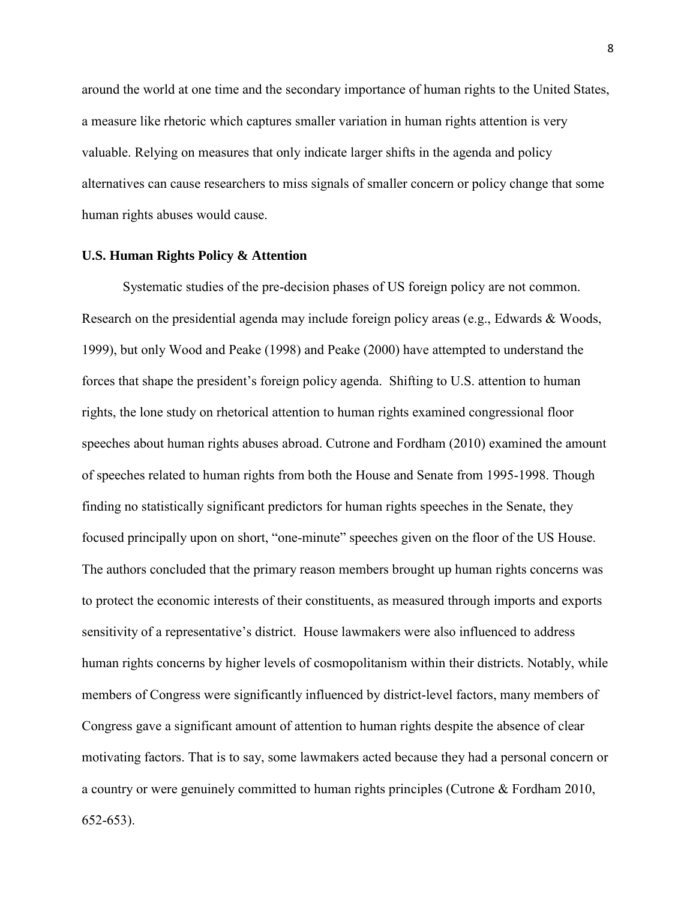around the world at one time and the secondary importance of human rights to the United States, a measure like rhetoric which captures smaller variation in human rights attention is very valuable. Relying on measures that only indicate larger shifts in the agenda and policy alternatives can cause researchers to miss signals of smaller concern or policy change that some human rights abuses would cause.

#### **U.S. Human Rights Policy & Attention**

Systematic studies of the pre-decision phases of US foreign policy are not common. Research on the presidential agenda may include foreign policy areas (e.g., Edwards & Woods, 1999), but only Wood and Peake (1998) and Peake (2000) have attempted to understand the forces that shape the president's foreign policy agenda. Shifting to U.S. attention to human rights, the lone study on rhetorical attention to human rights examined congressional floor speeches about human rights abuses abroad. Cutrone and Fordham (2010) examined the amount of speeches related to human rights from both the House and Senate from 1995-1998. Though finding no statistically significant predictors for human rights speeches in the Senate, they focused principally upon on short, "one-minute" speeches given on the floor of the US House. The authors concluded that the primary reason members brought up human rights concerns was to protect the economic interests of their constituents, as measured through imports and exports sensitivity of a representative's district. House lawmakers were also influenced to address human rights concerns by higher levels of cosmopolitanism within their districts. Notably, while members of Congress were significantly influenced by district-level factors, many members of Congress gave a significant amount of attention to human rights despite the absence of clear motivating factors. That is to say, some lawmakers acted because they had a personal concern or a country or were genuinely committed to human rights principles (Cutrone & Fordham 2010, 652-653).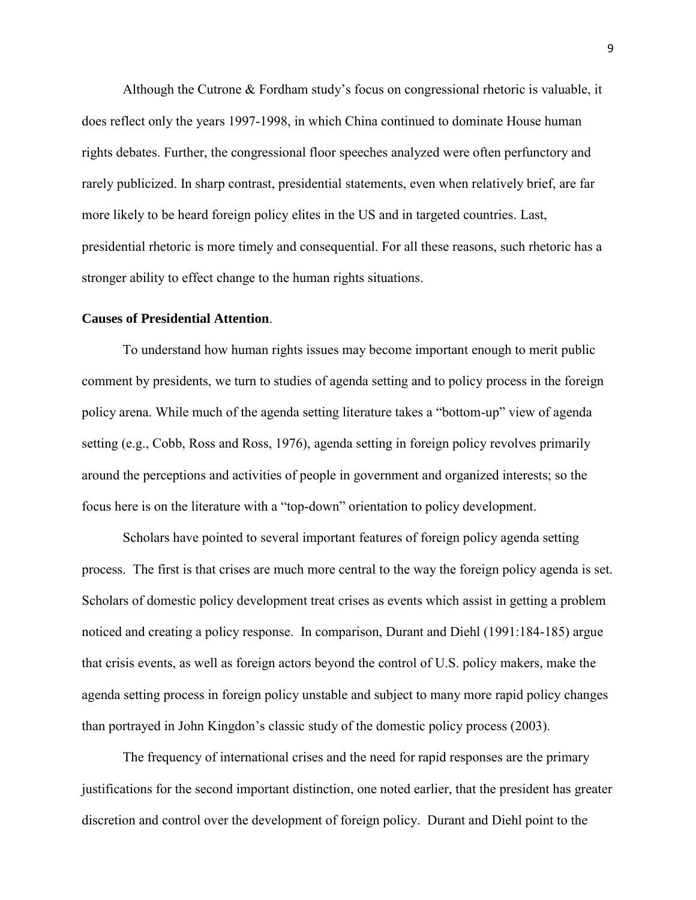Although the Cutrone & Fordham study's focus on congressional rhetoric is valuable, it does reflect only the years 1997-1998, in which China continued to dominate House human rights debates. Further, the congressional floor speeches analyzed were often perfunctory and rarely publicized. In sharp contrast, presidential statements, even when relatively brief, are far more likely to be heard foreign policy elites in the US and in targeted countries. Last, presidential rhetoric is more timely and consequential. For all these reasons, such rhetoric has a stronger ability to effect change to the human rights situations.

### **Causes of Presidential Attention**.

To understand how human rights issues may become important enough to merit public comment by presidents, we turn to studies of agenda setting and to policy process in the foreign policy arena. While much of the agenda setting literature takes a "bottom-up" view of agenda setting (e.g., Cobb, Ross and Ross, 1976), agenda setting in foreign policy revolves primarily around the perceptions and activities of people in government and organized interests; so the focus here is on the literature with a "top-down" orientation to policy development.

Scholars have pointed to several important features of foreign policy agenda setting process. The first is that crises are much more central to the way the foreign policy agenda is set. Scholars of domestic policy development treat crises as events which assist in getting a problem noticed and creating a policy response. In comparison, Durant and Diehl (1991:184-185) argue that crisis events, as well as foreign actors beyond the control of U.S. policy makers, make the agenda setting process in foreign policy unstable and subject to many more rapid policy changes than portrayed in John Kingdon's classic study of the domestic policy process (2003).

The frequency of international crises and the need for rapid responses are the primary justifications for the second important distinction, one noted earlier, that the president has greater discretion and control over the development of foreign policy. Durant and Diehl point to the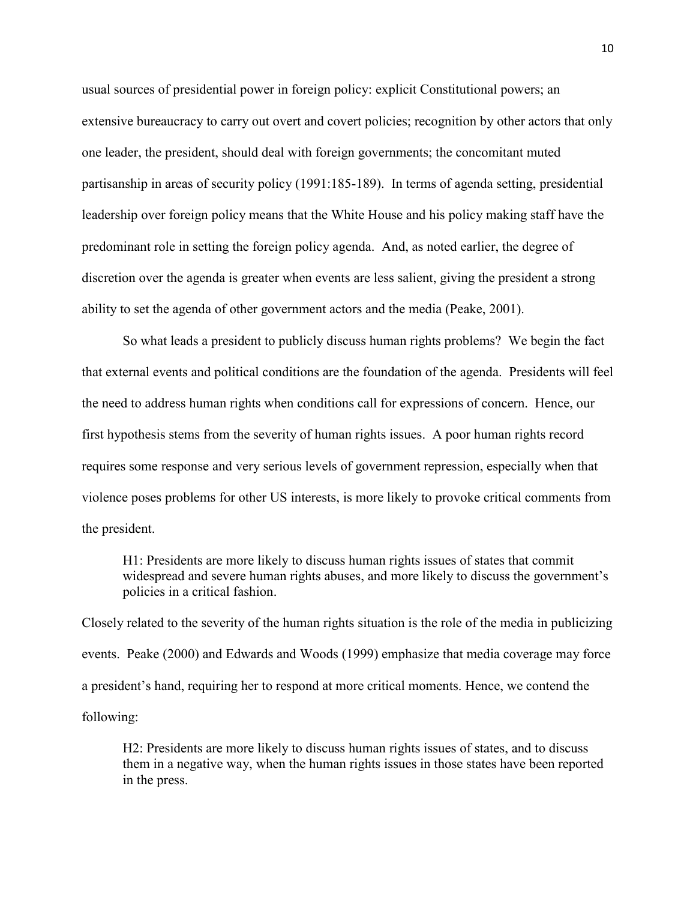usual sources of presidential power in foreign policy: explicit Constitutional powers; an extensive bureaucracy to carry out overt and covert policies; recognition by other actors that only one leader, the president, should deal with foreign governments; the concomitant muted partisanship in areas of security policy (1991:185-189). In terms of agenda setting, presidential leadership over foreign policy means that the White House and his policy making staff have the predominant role in setting the foreign policy agenda. And, as noted earlier, the degree of discretion over the agenda is greater when events are less salient, giving the president a strong ability to set the agenda of other government actors and the media (Peake, 2001).

So what leads a president to publicly discuss human rights problems? We begin the fact that external events and political conditions are the foundation of the agenda. Presidents will feel the need to address human rights when conditions call for expressions of concern. Hence, our first hypothesis stems from the severity of human rights issues. A poor human rights record requires some response and very serious levels of government repression, especially when that violence poses problems for other US interests, is more likely to provoke critical comments from the president.

H1: Presidents are more likely to discuss human rights issues of states that commit widespread and severe human rights abuses, and more likely to discuss the government's policies in a critical fashion.

Closely related to the severity of the human rights situation is the role of the media in publicizing events. Peake (2000) and Edwards and Woods (1999) emphasize that media coverage may force a president's hand, requiring her to respond at more critical moments. Hence, we contend the following:

H2: Presidents are more likely to discuss human rights issues of states, and to discuss them in a negative way, when the human rights issues in those states have been reported in the press.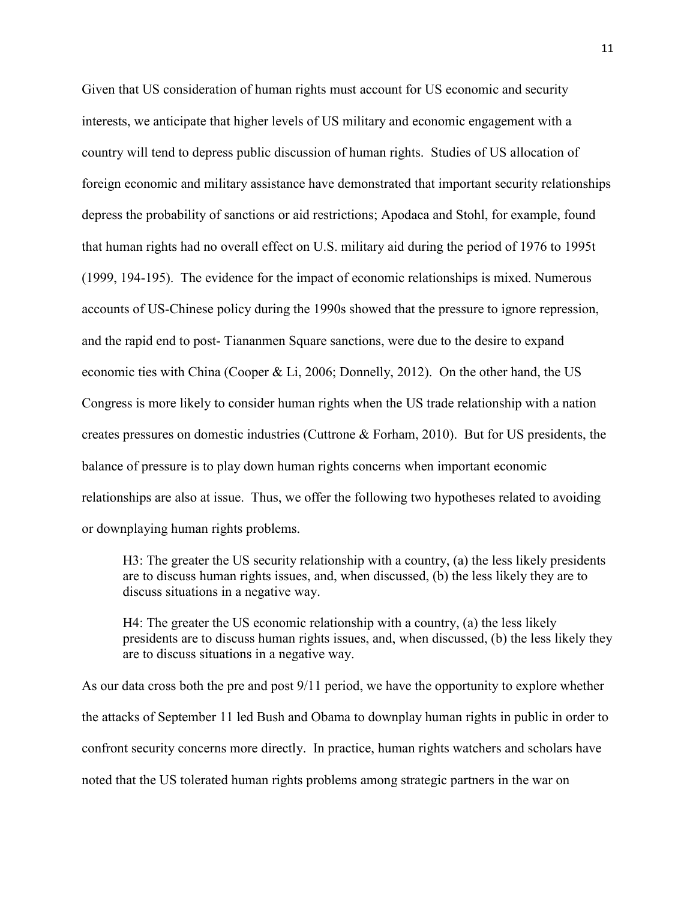Given that US consideration of human rights must account for US economic and security interests, we anticipate that higher levels of US military and economic engagement with a country will tend to depress public discussion of human rights. Studies of US allocation of foreign economic and military assistance have demonstrated that important security relationships depress the probability of sanctions or aid restrictions; Apodaca and Stohl, for example, found that human rights had no overall effect on U.S. military aid during the period of 1976 to 1995t (1999, 194-195). The evidence for the impact of economic relationships is mixed. Numerous accounts of US-Chinese policy during the 1990s showed that the pressure to ignore repression, and the rapid end to post- Tiananmen Square sanctions, were due to the desire to expand economic ties with China (Cooper & Li, 2006; Donnelly, 2012). On the other hand, the US Congress is more likely to consider human rights when the US trade relationship with a nation creates pressures on domestic industries (Cuttrone & Forham, 2010). But for US presidents, the balance of pressure is to play down human rights concerns when important economic relationships are also at issue. Thus, we offer the following two hypotheses related to avoiding or downplaying human rights problems.

H3: The greater the US security relationship with a country, (a) the less likely presidents are to discuss human rights issues, and, when discussed, (b) the less likely they are to discuss situations in a negative way.

H4: The greater the US economic relationship with a country, (a) the less likely presidents are to discuss human rights issues, and, when discussed, (b) the less likely they are to discuss situations in a negative way.

As our data cross both the pre and post 9/11 period, we have the opportunity to explore whether the attacks of September 11 led Bush and Obama to downplay human rights in public in order to confront security concerns more directly. In practice, human rights watchers and scholars have noted that the US tolerated human rights problems among strategic partners in the war on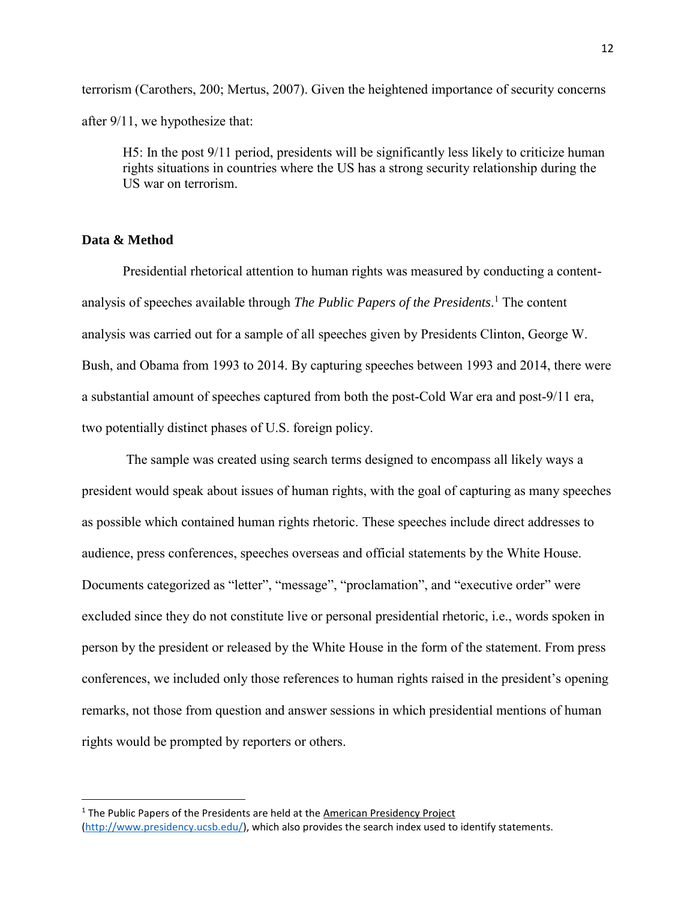terrorism (Carothers, 200; Mertus, 2007). Given the heightened importance of security concerns after 9/11, we hypothesize that:

H5: In the post 9/11 period, presidents will be significantly less likely to criticize human rights situations in countries where the US has a strong security relationship during the US war on terrorism.

## **Data & Method**

 $\overline{a}$ 

Presidential rhetorical attention to human rights was measured by conducting a contentanalysis of speeches available through *The Public Papers of the Presidents*. <sup>1</sup> The content analysis was carried out for a sample of all speeches given by Presidents Clinton, George W. Bush, and Obama from 1993 to 2014. By capturing speeches between 1993 and 2014, there were a substantial amount of speeches captured from both the post-Cold War era and post-9/11 era, two potentially distinct phases of U.S. foreign policy.

The sample was created using search terms designed to encompass all likely ways a president would speak about issues of human rights, with the goal of capturing as many speeches as possible which contained human rights rhetoric. These speeches include direct addresses to audience, press conferences, speeches overseas and official statements by the White House. Documents categorized as "letter", "message", "proclamation", and "executive order" were excluded since they do not constitute live or personal presidential rhetoric, i.e., words spoken in person by the president or released by the White House in the form of the statement. From press conferences, we included only those references to human rights raised in the president's opening remarks, not those from question and answer sessions in which presidential mentions of human rights would be prompted by reporters or others.

<sup>&</sup>lt;sup>1</sup> The Public Papers of the Presidents are held at the American Presidency Project

[<sup>\(</sup>http://www.presidency.ucsb.edu/\)](http://www.presidency.ucsb.edu/), which also provides the search index used to identify statements.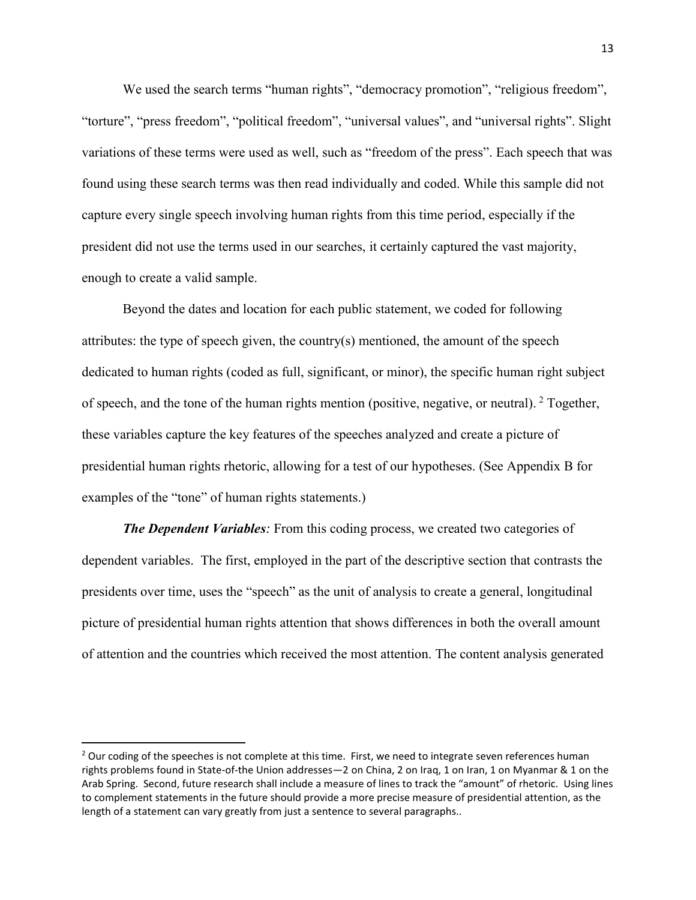We used the search terms "human rights", "democracy promotion", "religious freedom", "torture", "press freedom", "political freedom", "universal values", and "universal rights". Slight variations of these terms were used as well, such as "freedom of the press". Each speech that was found using these search terms was then read individually and coded. While this sample did not capture every single speech involving human rights from this time period, especially if the president did not use the terms used in our searches, it certainly captured the vast majority, enough to create a valid sample.

Beyond the dates and location for each public statement, we coded for following attributes: the type of speech given, the country(s) mentioned, the amount of the speech dedicated to human rights (coded as full, significant, or minor), the specific human right subject of speech, and the tone of the human rights mention (positive, negative, or neutral). <sup>2</sup> Together, these variables capture the key features of the speeches analyzed and create a picture of presidential human rights rhetoric, allowing for a test of our hypotheses. (See Appendix B for examples of the "tone" of human rights statements.)

*The Dependent Variables:* From this coding process, we created two categories of dependent variables. The first, employed in the part of the descriptive section that contrasts the presidents over time, uses the "speech" as the unit of analysis to create a general, longitudinal picture of presidential human rights attention that shows differences in both the overall amount of attention and the countries which received the most attention. The content analysis generated

 $\overline{\phantom{a}}$ 

<sup>&</sup>lt;sup>2</sup> Our coding of the speeches is not complete at this time. First, we need to integrate seven references human rights problems found in State-of-the Union addresses—2 on China, 2 on Iraq, 1 on Iran, 1 on Myanmar & 1 on the Arab Spring. Second, future research shall include a measure of lines to track the "amount" of rhetoric. Using lines to complement statements in the future should provide a more precise measure of presidential attention, as the length of a statement can vary greatly from just a sentence to several paragraphs..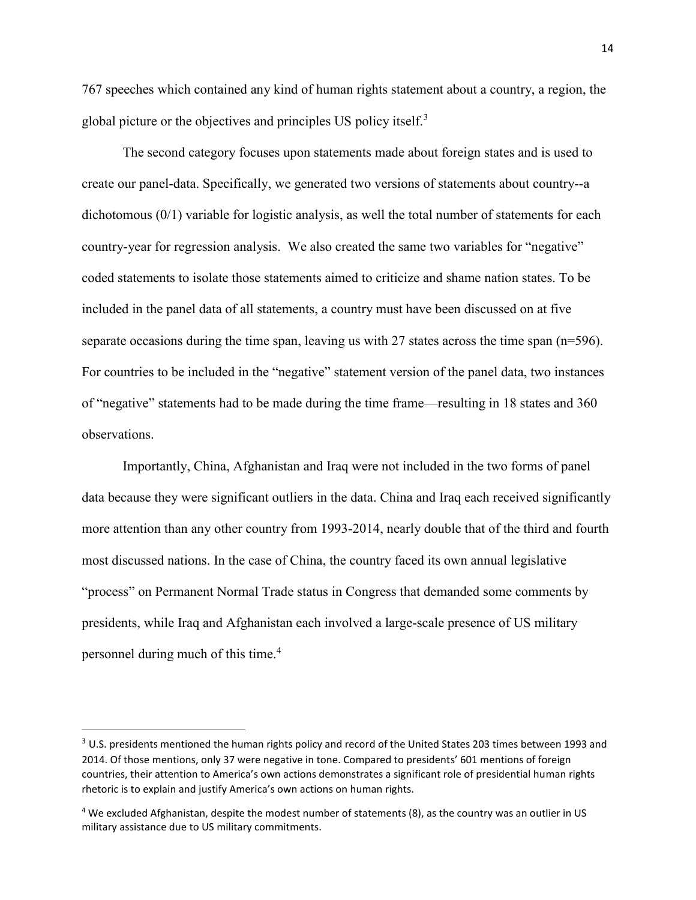767 speeches which contained any kind of human rights statement about a country, a region, the global picture or the objectives and principles US policy itself.<sup>3</sup>

The second category focuses upon statements made about foreign states and is used to create our panel-data. Specifically, we generated two versions of statements about country--a dichotomous (0/1) variable for logistic analysis, as well the total number of statements for each country-year for regression analysis. We also created the same two variables for "negative" coded statements to isolate those statements aimed to criticize and shame nation states. To be included in the panel data of all statements, a country must have been discussed on at five separate occasions during the time span, leaving us with 27 states across the time span  $(n=596)$ . For countries to be included in the "negative" statement version of the panel data, two instances of "negative" statements had to be made during the time frame—resulting in 18 states and 360 observations.

Importantly, China, Afghanistan and Iraq were not included in the two forms of panel data because they were significant outliers in the data. China and Iraq each received significantly more attention than any other country from 1993-2014, nearly double that of the third and fourth most discussed nations. In the case of China, the country faced its own annual legislative "process" on Permanent Normal Trade status in Congress that demanded some comments by presidents, while Iraq and Afghanistan each involved a large-scale presence of US military personnel during much of this time.<sup>4</sup>

 $\overline{\phantom{a}}$ 

<sup>&</sup>lt;sup>3</sup> U.S. presidents mentioned the human rights policy and record of the United States 203 times between 1993 and 2014. Of those mentions, only 37 were negative in tone. Compared to presidents' 601 mentions of foreign countries, their attention to America's own actions demonstrates a significant role of presidential human rights rhetoric is to explain and justify America's own actions on human rights.

<sup>4</sup> We excluded Afghanistan, despite the modest number of statements (8), as the country was an outlier in US military assistance due to US military commitments.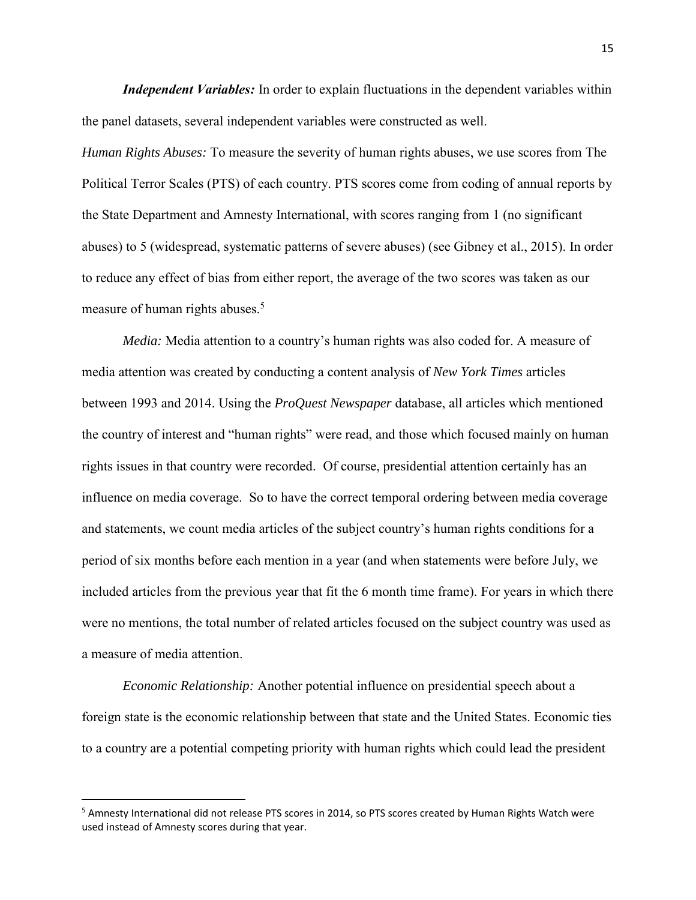*Independent Variables:* In order to explain fluctuations in the dependent variables within the panel datasets, several independent variables were constructed as well.

*Human Rights Abuses:* To measure the severity of human rights abuses, we use scores from The Political Terror Scales (PTS) of each country. PTS scores come from coding of annual reports by the State Department and Amnesty International, with scores ranging from 1 (no significant abuses) to 5 (widespread, systematic patterns of severe abuses) (see Gibney et al., 2015). In order to reduce any effect of bias from either report, the average of the two scores was taken as our measure of human rights abuses.<sup>5</sup>

*Media:* Media attention to a country's human rights was also coded for. A measure of media attention was created by conducting a content analysis of *New York Times* articles between 1993 and 2014. Using the *ProQuest Newspaper* database, all articles which mentioned the country of interest and "human rights" were read, and those which focused mainly on human rights issues in that country were recorded. Of course, presidential attention certainly has an influence on media coverage. So to have the correct temporal ordering between media coverage and statements, we count media articles of the subject country's human rights conditions for a period of six months before each mention in a year (and when statements were before July, we included articles from the previous year that fit the 6 month time frame). For years in which there were no mentions, the total number of related articles focused on the subject country was used as a measure of media attention.

*Economic Relationship:* Another potential influence on presidential speech about a foreign state is the economic relationship between that state and the United States. Economic ties to a country are a potential competing priority with human rights which could lead the president

 $\overline{a}$ 

<sup>&</sup>lt;sup>5</sup> Amnesty International did not release PTS scores in 2014, so PTS scores created by Human Rights Watch were used instead of Amnesty scores during that year.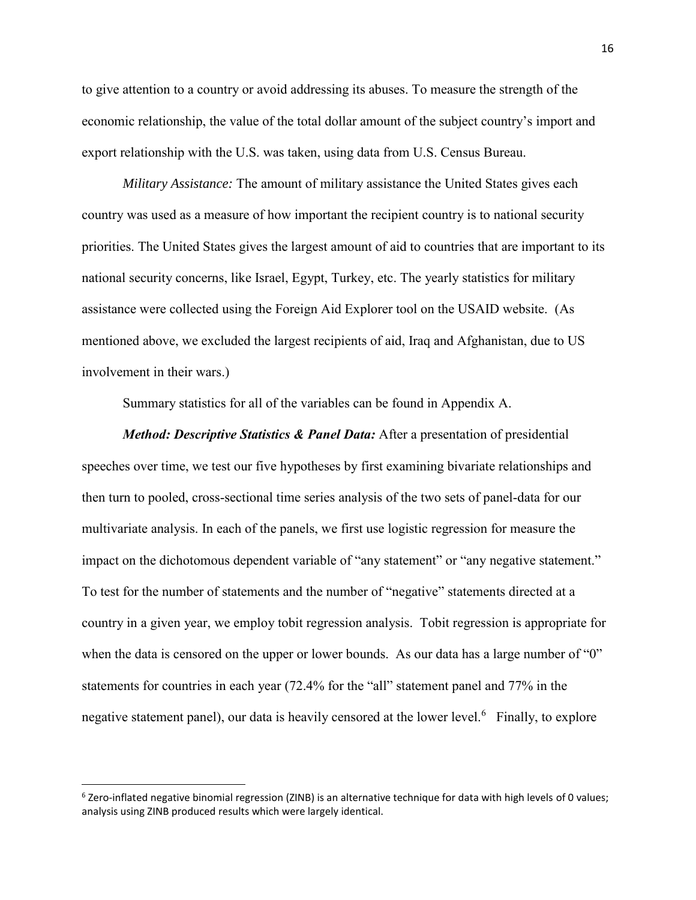to give attention to a country or avoid addressing its abuses. To measure the strength of the economic relationship, the value of the total dollar amount of the subject country's import and export relationship with the U.S. was taken, using data from U.S. Census Bureau.

*Military Assistance:* The amount of military assistance the United States gives each country was used as a measure of how important the recipient country is to national security priorities. The United States gives the largest amount of aid to countries that are important to its national security concerns, like Israel, Egypt, Turkey, etc. The yearly statistics for military assistance were collected using the Foreign Aid Explorer tool on the USAID website. (As mentioned above, we excluded the largest recipients of aid, Iraq and Afghanistan, due to US involvement in their wars.)

Summary statistics for all of the variables can be found in Appendix A.

*Method: Descriptive Statistics & Panel Data:* After a presentation of presidential speeches over time, we test our five hypotheses by first examining bivariate relationships and then turn to pooled, cross-sectional time series analysis of the two sets of panel-data for our multivariate analysis. In each of the panels, we first use logistic regression for measure the impact on the dichotomous dependent variable of "any statement" or "any negative statement." To test for the number of statements and the number of "negative" statements directed at a country in a given year, we employ tobit regression analysis. Tobit regression is appropriate for when the data is censored on the upper or lower bounds. As our data has a large number of "0" statements for countries in each year (72.4% for the "all" statement panel and 77% in the negative statement panel), our data is heavily censored at the lower level.<sup>6</sup> Finally, to explore

l

<sup>&</sup>lt;sup>6</sup> Zero-inflated negative binomial regression (ZINB) is an alternative technique for data with high levels of 0 values; analysis using ZINB produced results which were largely identical.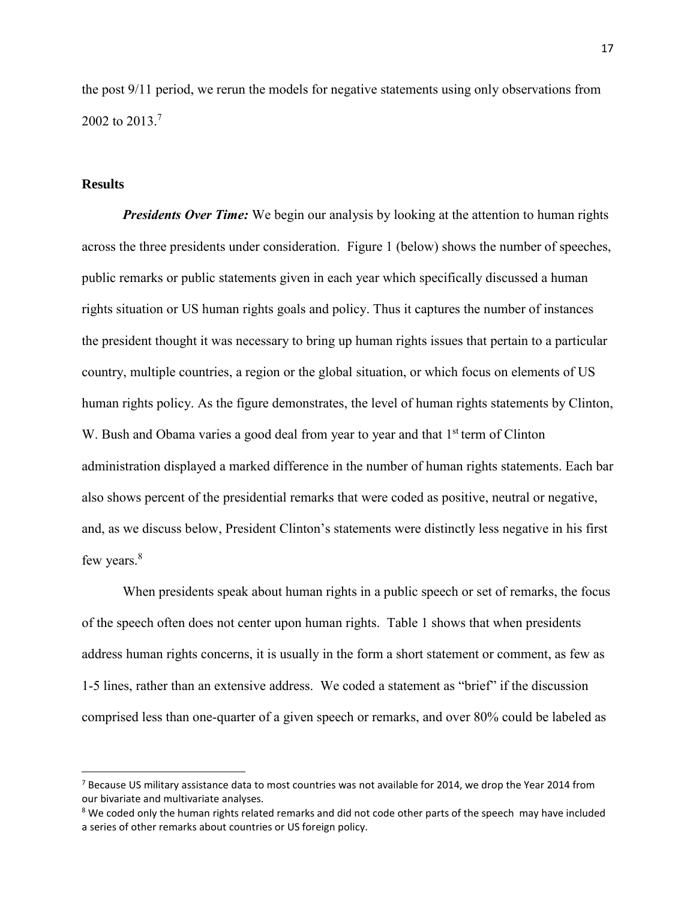the post 9/11 period, we rerun the models for negative statements using only observations from 2002 to 2013.<sup>7</sup>

### **Results**

 $\overline{a}$ 

*Presidents Over Time:* We begin our analysis by looking at the attention to human rights across the three presidents under consideration. Figure 1 (below) shows the number of speeches, public remarks or public statements given in each year which specifically discussed a human rights situation or US human rights goals and policy. Thus it captures the number of instances the president thought it was necessary to bring up human rights issues that pertain to a particular country, multiple countries, a region or the global situation, or which focus on elements of US human rights policy. As the figure demonstrates, the level of human rights statements by Clinton, W. Bush and Obama varies a good deal from year to year and that 1<sup>st</sup> term of Clinton administration displayed a marked difference in the number of human rights statements. Each bar also shows percent of the presidential remarks that were coded as positive, neutral or negative, and, as we discuss below, President Clinton's statements were distinctly less negative in his first few years.<sup>8</sup>

When presidents speak about human rights in a public speech or set of remarks, the focus of the speech often does not center upon human rights. Table 1 shows that when presidents address human rights concerns, it is usually in the form a short statement or comment, as few as 1-5 lines, rather than an extensive address. We coded a statement as "brief" if the discussion comprised less than one-quarter of a given speech or remarks, and over 80% could be labeled as

<sup>&</sup>lt;sup>7</sup> Because US military assistance data to most countries was not available for 2014, we drop the Year 2014 from our bivariate and multivariate analyses.

<sup>&</sup>lt;sup>8</sup> We coded only the human rights related remarks and did not code other parts of the speech may have included a series of other remarks about countries or US foreign policy.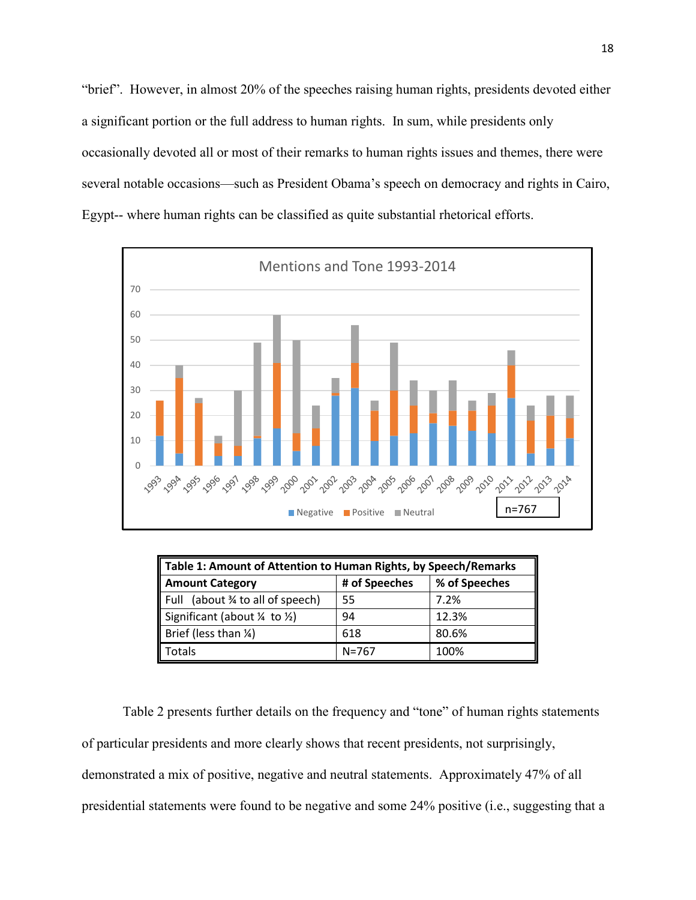"brief". However, in almost 20% of the speeches raising human rights, presidents devoted either a significant portion or the full address to human rights. In sum, while presidents only occasionally devoted all or most of their remarks to human rights issues and themes, there were several notable occasions—such as President Obama's speech on democracy and rights in Cairo, Egypt-- where human rights can be classified as quite substantial rhetorical efforts.



| Table 1: Amount of Attention to Human Rights, by Speech/Remarks |           |       |  |  |  |  |  |
|-----------------------------------------------------------------|-----------|-------|--|--|--|--|--|
| # of Speeches<br>% of Speeches<br><b>Amount Category</b>        |           |       |  |  |  |  |  |
| Full (about 34 to all of speech)                                | 55        | 7.2%  |  |  |  |  |  |
| Significant (about $\frac{1}{4}$ to $\frac{1}{2}$ )             | 94        | 12.3% |  |  |  |  |  |
| Brief (less than $\frac{1}{4}$ )                                | 618       | 80.6% |  |  |  |  |  |
| Totals                                                          | $N = 767$ | 100%  |  |  |  |  |  |

Table 2 presents further details on the frequency and "tone" of human rights statements of particular presidents and more clearly shows that recent presidents, not surprisingly, demonstrated a mix of positive, negative and neutral statements. Approximately 47% of all presidential statements were found to be negative and some 24% positive (i.e., suggesting that a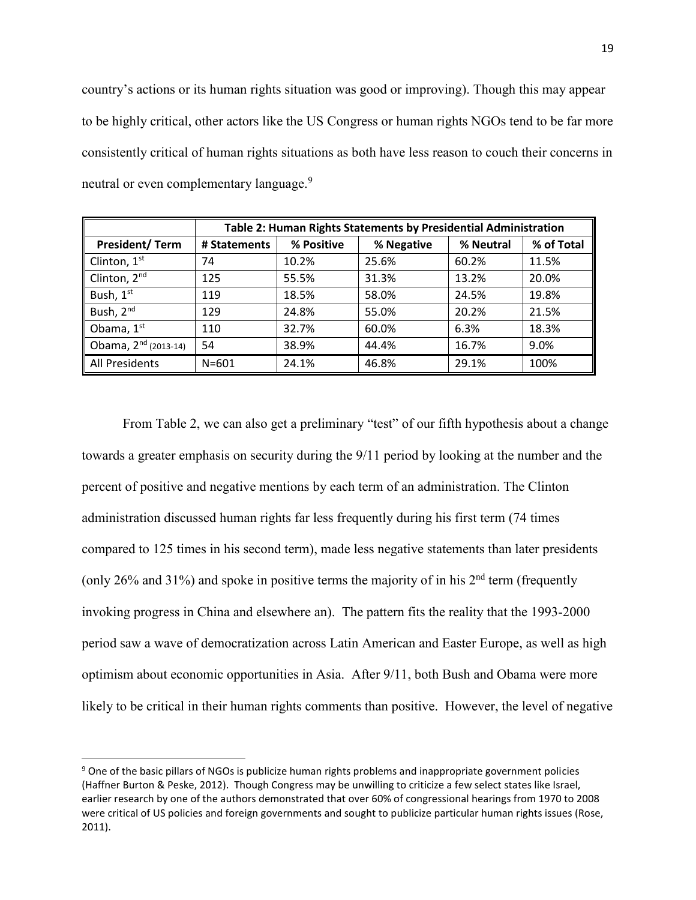country's actions or its human rights situation was good or improving). Though this may appear to be highly critical, other actors like the US Congress or human rights NGOs tend to be far more consistently critical of human rights situations as both have less reason to couch their concerns in neutral or even complementary language.<sup>9</sup>

|                                  | Table 2: Human Rights Statements by Presidential Administration |            |            |           |            |  |  |  |
|----------------------------------|-----------------------------------------------------------------|------------|------------|-----------|------------|--|--|--|
| <b>President/Term</b>            | # Statements                                                    | % Positive | % Negative | % Neutral | % of Total |  |  |  |
| Clinton, 1st                     | 74                                                              | 10.2%      | 25.6%      | 60.2%     | 11.5%      |  |  |  |
| Clinton, 2 <sup>nd</sup>         | 125                                                             | 55.5%      | 31.3%      | 13.2%     | 20.0%      |  |  |  |
| Bush, 1st                        | 119                                                             | 18.5%      | 58.0%      | 24.5%     | 19.8%      |  |  |  |
| Bush, 2nd                        | 129                                                             | 24.8%      | 55.0%      | 20.2%     | 21.5%      |  |  |  |
| Obama, 1st                       | 110                                                             | 32.7%      | 60.0%      | 6.3%      | 18.3%      |  |  |  |
| Obama, 2 <sup>nd</sup> (2013-14) | 54                                                              | 38.9%      | 44.4%      | 16.7%     | 9.0%       |  |  |  |
| All Presidents                   | $N = 601$                                                       | 24.1%      | 46.8%      | 29.1%     | 100%       |  |  |  |

From Table 2, we can also get a preliminary "test" of our fifth hypothesis about a change towards a greater emphasis on security during the 9/11 period by looking at the number and the percent of positive and negative mentions by each term of an administration. The Clinton administration discussed human rights far less frequently during his first term (74 times compared to 125 times in his second term), made less negative statements than later presidents (only 26% and 31%) and spoke in positive terms the majority of in his  $2<sup>nd</sup>$  term (frequently invoking progress in China and elsewhere an). The pattern fits the reality that the 1993-2000 period saw a wave of democratization across Latin American and Easter Europe, as well as high optimism about economic opportunities in Asia. After 9/11, both Bush and Obama were more likely to be critical in their human rights comments than positive. However, the level of negative

 $\overline{\phantom{a}}$ 

<sup>&</sup>lt;sup>9</sup> One of the basic pillars of NGOs is publicize human rights problems and inappropriate government policies (Haffner Burton & Peske, 2012). Though Congress may be unwilling to criticize a few select states like Israel, earlier research by one of the authors demonstrated that over 60% of congressional hearings from 1970 to 2008 were critical of US policies and foreign governments and sought to publicize particular human rights issues (Rose, 2011).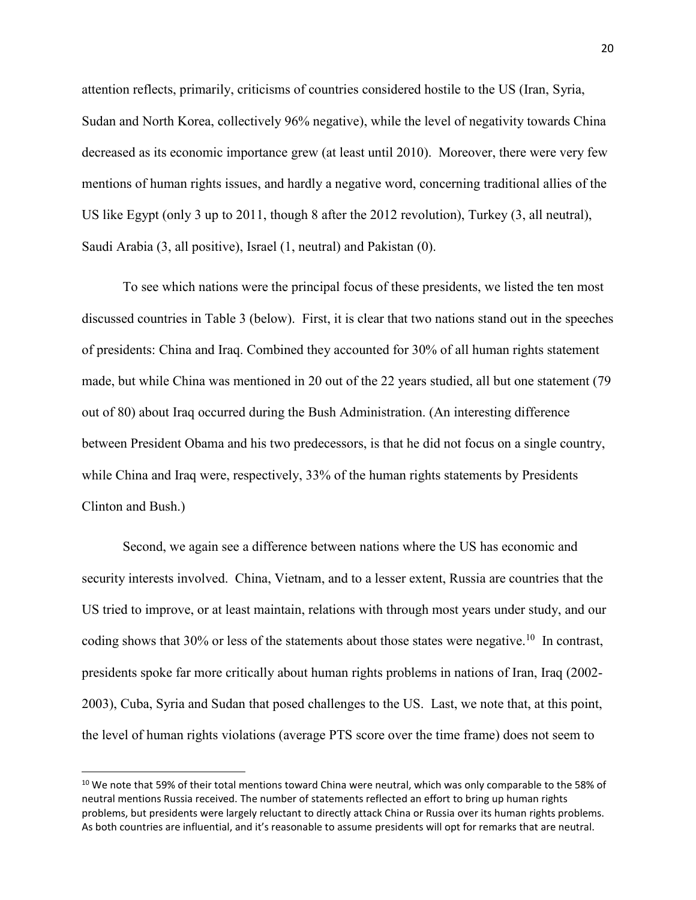attention reflects, primarily, criticisms of countries considered hostile to the US (Iran, Syria, Sudan and North Korea, collectively 96% negative), while the level of negativity towards China decreased as its economic importance grew (at least until 2010). Moreover, there were very few mentions of human rights issues, and hardly a negative word, concerning traditional allies of the US like Egypt (only 3 up to 2011, though 8 after the 2012 revolution), Turkey (3, all neutral), Saudi Arabia (3, all positive), Israel (1, neutral) and Pakistan (0).

 To see which nations were the principal focus of these presidents, we listed the ten most discussed countries in Table 3 (below). First, it is clear that two nations stand out in the speeches of presidents: China and Iraq. Combined they accounted for 30% of all human rights statement made, but while China was mentioned in 20 out of the 22 years studied, all but one statement (79 out of 80) about Iraq occurred during the Bush Administration. (An interesting difference between President Obama and his two predecessors, is that he did not focus on a single country, while China and Iraq were, respectively, 33% of the human rights statements by Presidents Clinton and Bush.)

Second, we again see a difference between nations where the US has economic and security interests involved. China, Vietnam, and to a lesser extent, Russia are countries that the US tried to improve, or at least maintain, relations with through most years under study, and our coding shows that 30% or less of the statements about those states were negative.<sup>10</sup> In contrast, presidents spoke far more critically about human rights problems in nations of Iran, Iraq (2002- 2003), Cuba, Syria and Sudan that posed challenges to the US. Last, we note that, at this point, the level of human rights violations (average PTS score over the time frame) does not seem to

 $\overline{a}$ 

<sup>&</sup>lt;sup>10</sup> We note that 59% of their total mentions toward China were neutral, which was only comparable to the 58% of neutral mentions Russia received. The number of statements reflected an effort to bring up human rights problems, but presidents were largely reluctant to directly attack China or Russia over its human rights problems. As both countries are influential, and it's reasonable to assume presidents will opt for remarks that are neutral.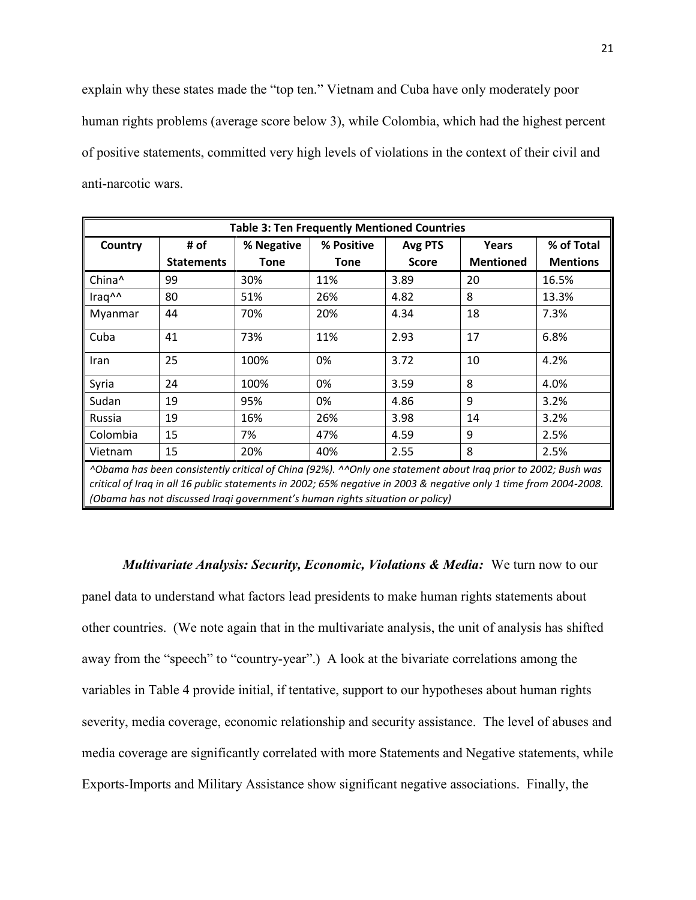explain why these states made the "top ten." Vietnam and Cuba have only moderately poor human rights problems (average score below 3), while Colombia, which had the highest percent of positive statements, committed very high levels of violations in the context of their civil and anti-narcotic wars.

| <b>Table 3: Ten Frequently Mentioned Countries</b> |                                                                                                               |            |            |              |                  |                 |  |  |
|----------------------------------------------------|---------------------------------------------------------------------------------------------------------------|------------|------------|--------------|------------------|-----------------|--|--|
| Country                                            | # of                                                                                                          | % Negative | % Positive | Avg PTS      | Years            | % of Total      |  |  |
|                                                    | <b>Statements</b>                                                                                             | Tone       | Tone       | <b>Score</b> | <b>Mentioned</b> | <b>Mentions</b> |  |  |
| China^                                             | 99                                                                                                            | 30%        | 11%        | 3.89         | 20               | 16.5%           |  |  |
| Iraq^^                                             | 80                                                                                                            | 51%        | 26%        | 4.82         | 8                | 13.3%           |  |  |
| Myanmar                                            | 44                                                                                                            | 70%        | 20%        | 4.34         | 18               | 7.3%            |  |  |
| Cuba                                               | 41                                                                                                            | 73%        | 11%        | 2.93         | 17               | 6.8%            |  |  |
| Iran                                               | 25                                                                                                            | 100%       | 0%         | 3.72         | 10               | 4.2%            |  |  |
| Syria                                              | 24                                                                                                            | 100%       | 0%         | 3.59         | 8                | 4.0%            |  |  |
| Sudan                                              | 19                                                                                                            | 95%        | 0%         | 4.86         | 9                | 3.2%            |  |  |
| Russia                                             | 19                                                                                                            | 16%        | 26%        | 3.98         | 14               | 3.2%            |  |  |
| Colombia                                           | 15                                                                                                            | 7%         | 47%        | 4.59         | 9                | 2.5%            |  |  |
| Vietnam                                            | 15                                                                                                            | 20%        | 40%        | 2.55         | 8                | 2.5%            |  |  |
|                                                    | ^Obama has been consistently critical of China (92%). ^^Only one statement about Iraq prior to 2002; Bush was |            |            |              |                  |                 |  |  |

*critical of Iraq in all 16 public statements in 2002; 65% negative in 2003 & negative only 1 time from 2004-2008. (Obama has not discussed Iraqi government's human rights situation or policy)*

*Multivariate Analysis: Security, Economic, Violations & Media:* We turn now to our panel data to understand what factors lead presidents to make human rights statements about other countries. (We note again that in the multivariate analysis, the unit of analysis has shifted away from the "speech" to "country-year".) A look at the bivariate correlations among the variables in Table 4 provide initial, if tentative, support to our hypotheses about human rights severity, media coverage, economic relationship and security assistance. The level of abuses and media coverage are significantly correlated with more Statements and Negative statements, while Exports-Imports and Military Assistance show significant negative associations. Finally, the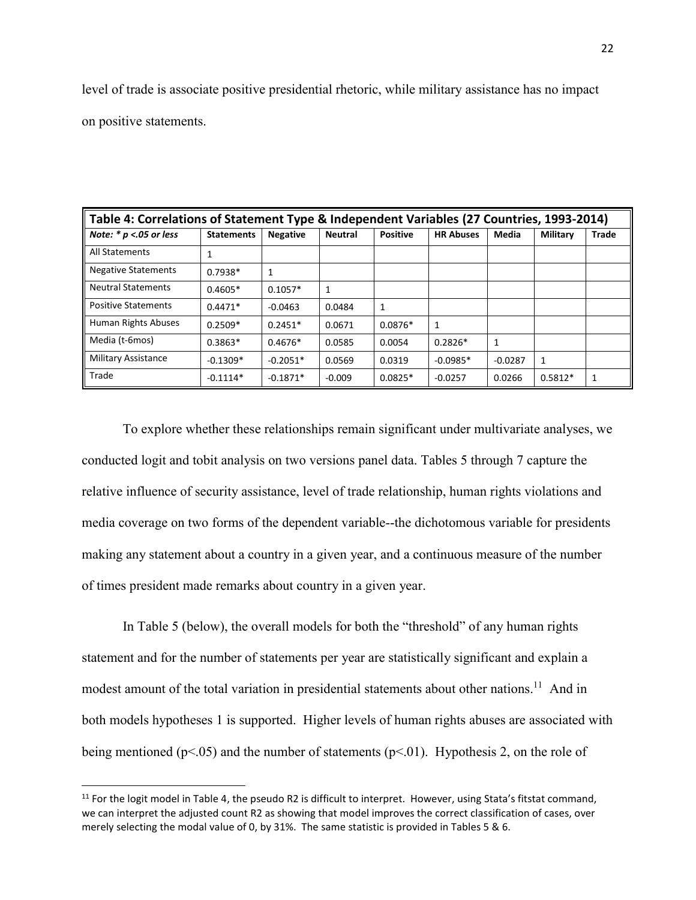level of trade is associate positive presidential rhetoric, while military assistance has no impact on positive statements.

| Table 4: Correlations of Statement Type & Independent Variables (27 Countries, 1993-2014) |                   |                 |                |                 |                  |           |                 |              |
|-------------------------------------------------------------------------------------------|-------------------|-----------------|----------------|-----------------|------------------|-----------|-----------------|--------------|
| Note: $* p < .05$ or less                                                                 | <b>Statements</b> | <b>Negative</b> | <b>Neutral</b> | <b>Positive</b> | <b>HR Abuses</b> | Media     | <b>Military</b> | <b>Trade</b> |
| All Statements                                                                            | 1                 |                 |                |                 |                  |           |                 |              |
| <b>Negative Statements</b>                                                                | $0.7938*$         | 1               |                |                 |                  |           |                 |              |
| <b>Neutral Statements</b>                                                                 | $0.4605*$         | $0.1057*$       | $\mathbf{1}$   |                 |                  |           |                 |              |
| <b>Positive Statements</b>                                                                | $0.4471*$         | $-0.0463$       | 0.0484         | 1               |                  |           |                 |              |
| Human Rights Abuses                                                                       | $0.2509*$         | $0.2451*$       | 0.0671         | $0.0876*$       | 1                |           |                 |              |
| Media (t-6mos)                                                                            | $0.3863*$         | $0.4676*$       | 0.0585         | 0.0054          | $0.2826*$        | 1         |                 |              |
| <b>Military Assistance</b>                                                                | $-0.1309*$        | $-0.2051*$      | 0.0569         | 0.0319          | $-0.0985*$       | $-0.0287$ | 1               |              |
| Trade                                                                                     | $-0.1114*$        | $-0.1871*$      | $-0.009$       | $0.0825*$       | $-0.0257$        | 0.0266    | $0.5812*$       |              |

To explore whether these relationships remain significant under multivariate analyses, we conducted logit and tobit analysis on two versions panel data. Tables 5 through 7 capture the relative influence of security assistance, level of trade relationship, human rights violations and media coverage on two forms of the dependent variable--the dichotomous variable for presidents making any statement about a country in a given year, and a continuous measure of the number of times president made remarks about country in a given year.

In Table 5 (below), the overall models for both the "threshold" of any human rights statement and for the number of statements per year are statistically significant and explain a modest amount of the total variation in presidential statements about other nations.<sup>11</sup> And in both models hypotheses 1 is supported. Higher levels of human rights abuses are associated with being mentioned ( $p<.05$ ) and the number of statements ( $p<.01$ ). Hypothesis 2, on the role of

 $\overline{\phantom{a}}$ 

<sup>&</sup>lt;sup>11</sup> For the logit model in Table 4, the pseudo R2 is difficult to interpret. However, using Stata's fitstat command, we can interpret the adjusted count R2 as showing that model improves the correct classification of cases, over merely selecting the modal value of 0, by 31%. The same statistic is provided in Tables 5 & 6.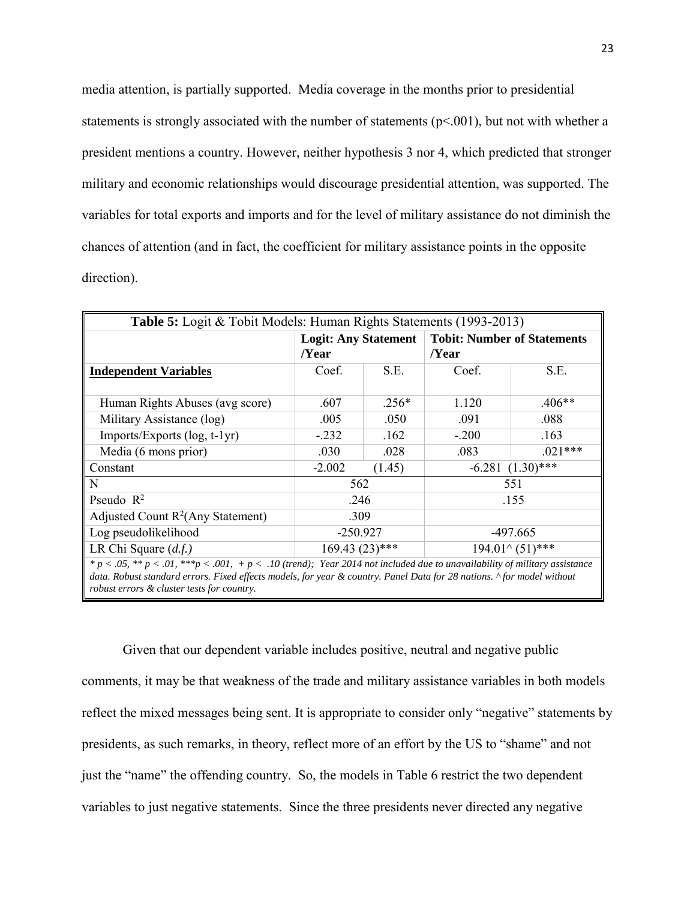media attention, is partially supported. Media coverage in the months prior to presidential statements is strongly associated with the number of statements  $(p<.001)$ , but not with whether a president mentions a country. However, neither hypothesis 3 nor 4, which predicted that stronger military and economic relationships would discourage presidential attention, was supported. The variables for total exports and imports and for the level of military assistance do not diminish the chances of attention (and in fact, the coefficient for military assistance points in the opposite direction).

| <b>Table 5:</b> Logit & Tobit Models: Human Rights Statements (1993-2013)                                                    |                             |        |                                    |                    |  |  |
|------------------------------------------------------------------------------------------------------------------------------|-----------------------------|--------|------------------------------------|--------------------|--|--|
|                                                                                                                              | <b>Logit: Any Statement</b> |        | <b>Tobit: Number of Statements</b> |                    |  |  |
|                                                                                                                              | /Year                       |        | /Year                              |                    |  |  |
| <b>Independent Variables</b>                                                                                                 | S.E.<br>Coef.               |        | Coef.                              | S.E.               |  |  |
|                                                                                                                              |                             |        |                                    |                    |  |  |
| Human Rights Abuses (avg score)                                                                                              | $.256*$<br>.607             |        | 1.120                              | $.406**$           |  |  |
| Military Assistance (log)                                                                                                    | .005<br>.050                |        | .091                               | .088               |  |  |
| $Imports/Exports$ (log, t-1yr)                                                                                               | $-.232$                     | .162   | $-.200$                            | .163               |  |  |
| Media (6 mons prior)                                                                                                         | .030                        | .028   | .083                               | $.021***$          |  |  |
| Constant                                                                                                                     | $-2.002$                    | (1.45) |                                    | $-6.281(1.30)$ *** |  |  |
| N                                                                                                                            | 562                         |        |                                    | 551                |  |  |
| Pseudo $R^2$                                                                                                                 | .246                        |        |                                    | .155               |  |  |
| Adjusted Count $R^2$ (Any Statement)                                                                                         | .309                        |        |                                    |                    |  |  |
| Log pseudolikelihood                                                                                                         | $-250.927$                  |        |                                    | -497.665           |  |  |
| LR Chi Square $(d.f.)$                                                                                                       | $169.43(23)$ ***            |        | $194.01^{\circ} (51)$ ***          |                    |  |  |
| $* p < .05, ** p < .01, ** p < .001, + p < .10$ (trend); Year 2014 not included due to unavailability of military assistance |                             |        |                                    |                    |  |  |
| data. Robust standard errors. Fixed effects models, for year & country. Panel Data for 28 nations. ^ for model without       |                             |        |                                    |                    |  |  |
| robust errors & cluster tests for country.                                                                                   |                             |        |                                    |                    |  |  |

Given that our dependent variable includes positive, neutral and negative public comments, it may be that weakness of the trade and military assistance variables in both models reflect the mixed messages being sent. It is appropriate to consider only "negative" statements by presidents, as such remarks, in theory, reflect more of an effort by the US to "shame" and not just the "name" the offending country. So, the models in Table 6 restrict the two dependent variables to just negative statements. Since the three presidents never directed any negative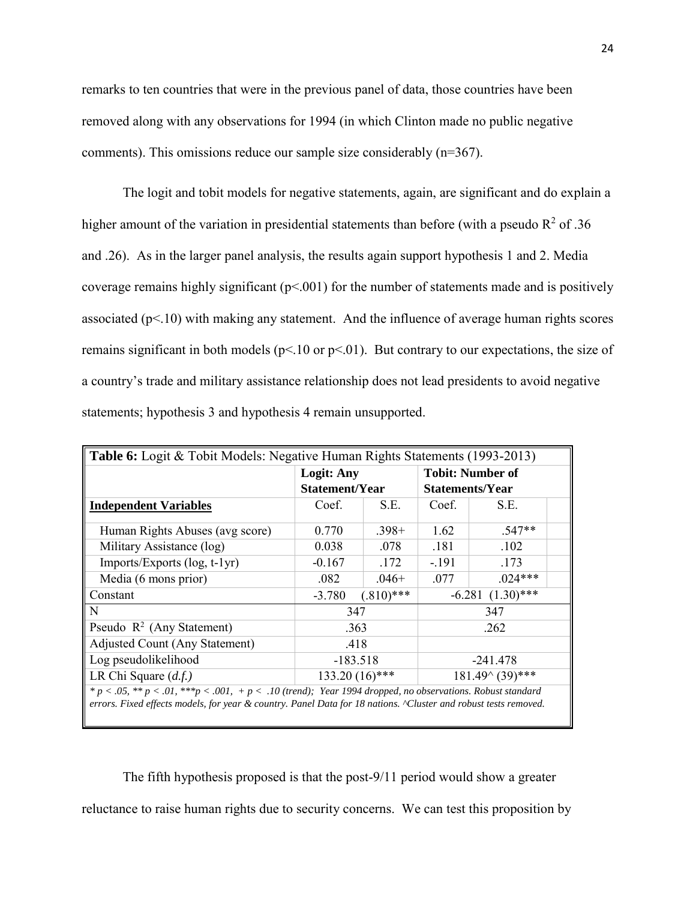remarks to ten countries that were in the previous panel of data, those countries have been removed along with any observations for 1994 (in which Clinton made no public negative comments). This omissions reduce our sample size considerably (n=367).

The logit and tobit models for negative statements, again, are significant and do explain a higher amount of the variation in presidential statements than before (with a pseudo  $R^2$  of .36 and .26). As in the larger panel analysis, the results again support hypothesis 1 and 2. Media coverage remains highly significant  $(p< .001)$  for the number of statements made and is positively associated ( $p$ <.10) with making any statement. And the influence of average human rights scores remains significant in both models ( $p<10$  or  $p<01$ ). But contrary to our expectations, the size of a country's trade and military assistance relationship does not lead presidents to avoid negative statements; hypothesis 3 and hypothesis 4 remain unsupported.

| Table 6: Logit & Tobit Models: Negative Human Rights Statements (1993-2013)                                                                                                                                                     |                                                             |              |         |                         |  |  |
|---------------------------------------------------------------------------------------------------------------------------------------------------------------------------------------------------------------------------------|-------------------------------------------------------------|--------------|---------|-------------------------|--|--|
|                                                                                                                                                                                                                                 | <b>Logit: Any</b>                                           |              |         | <b>Tobit: Number of</b> |  |  |
|                                                                                                                                                                                                                                 | Statement/Year<br><b>Statements/Year</b>                    |              |         |                         |  |  |
| <b>Independent Variables</b>                                                                                                                                                                                                    | S.E.<br>Coef.                                               |              | Coef.   | S.E.                    |  |  |
| Human Rights Abuses (avg score)                                                                                                                                                                                                 | 0.770                                                       | $.398+$      | 1.62    | $.547**$                |  |  |
| Military Assistance (log)                                                                                                                                                                                                       | 0.038                                                       | .078         | .181    | .102                    |  |  |
| Imports/Exports (log, t-1yr)                                                                                                                                                                                                    | $-0.167$                                                    | .172         | $-.191$ | .173                    |  |  |
| Media (6 mons prior)                                                                                                                                                                                                            | .082                                                        | $.046+$      | .077    | $.024***$               |  |  |
| Constant                                                                                                                                                                                                                        | $-3.780$                                                    | $(.810)$ *** |         | $-6.281(1.30)$ ***      |  |  |
| N                                                                                                                                                                                                                               | 347                                                         |              |         | 347                     |  |  |
| Pseudo $\mathbb{R}^2$ (Any Statement)                                                                                                                                                                                           | .363                                                        |              |         | .262                    |  |  |
| Adjusted Count (Any Statement)                                                                                                                                                                                                  | .418                                                        |              |         |                         |  |  |
| Log pseudolikelihood                                                                                                                                                                                                            | $-183.518$<br>$-241.478$                                    |              |         |                         |  |  |
| LR Chi Square $(d.f.)$                                                                                                                                                                                                          | $133.20(16)$ ***<br>$181.49^{\scriptstyle \wedge} (39)$ *** |              |         |                         |  |  |
| $* p < .05, ** p < .01, ** p < .001, + p < .10$ (trend); Year 1994 dropped, no observations. Robust standard<br>errors. Fixed effects models, for year & country. Panel Data for 18 nations. "Cluster and robust tests removed. |                                                             |              |         |                         |  |  |

 The fifth hypothesis proposed is that the post-9/11 period would show a greater reluctance to raise human rights due to security concerns. We can test this proposition by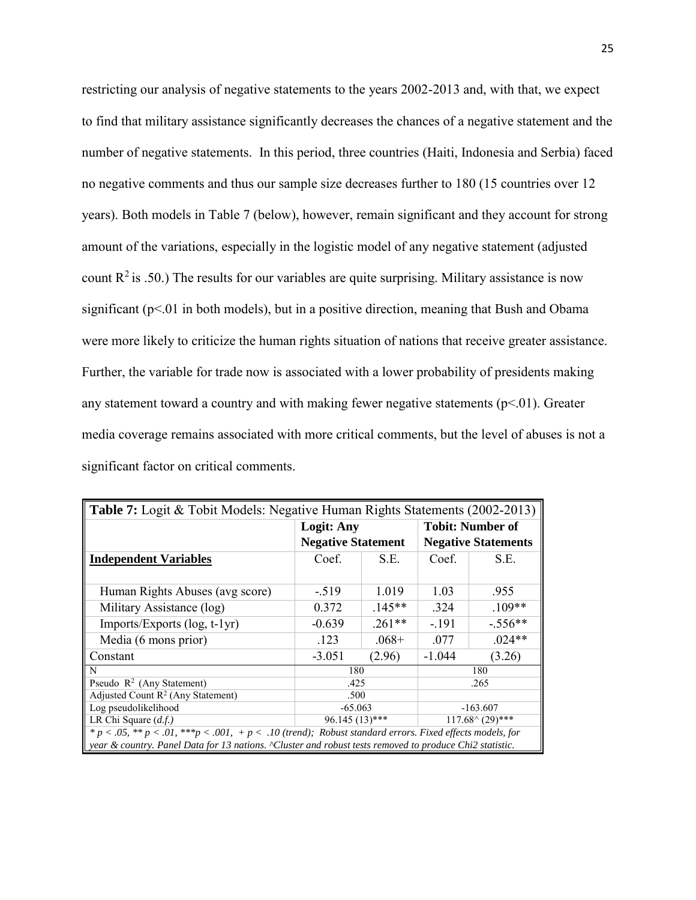restricting our analysis of negative statements to the years 2002-2013 and, with that, we expect to find that military assistance significantly decreases the chances of a negative statement and the number of negative statements. In this period, three countries (Haiti, Indonesia and Serbia) faced no negative comments and thus our sample size decreases further to 180 (15 countries over 12 years). Both models in Table 7 (below), however, remain significant and they account for strong amount of the variations, especially in the logistic model of any negative statement (adjusted count  $R^2$  is .50.) The results for our variables are quite surprising. Military assistance is now significant ( $p<01$  in both models), but in a positive direction, meaning that Bush and Obama were more likely to criticize the human rights situation of nations that receive greater assistance. Further, the variable for trade now is associated with a lower probability of presidents making any statement toward a country and with making fewer negative statements  $(p<0.01)$ . Greater media coverage remains associated with more critical comments, but the level of abuses is not a significant factor on critical comments.

| <b>Table 7:</b> Logit & Tobit Models: Negative Human Rights Statements (2002-2013)                         |                           |          |                            |           |  |  |  |
|------------------------------------------------------------------------------------------------------------|---------------------------|----------|----------------------------|-----------|--|--|--|
|                                                                                                            | <b>Logit: Any</b>         |          | <b>Tobit: Number of</b>    |           |  |  |  |
|                                                                                                            | <b>Negative Statement</b> |          | <b>Negative Statements</b> |           |  |  |  |
| <b>Independent Variables</b>                                                                               | Coef.                     | S.E.     | Coef.                      | S.E.      |  |  |  |
|                                                                                                            |                           |          |                            |           |  |  |  |
| Human Rights Abuses (avg score)                                                                            | $-.519$                   | 1.019    | 1.03                       | .955      |  |  |  |
| Military Assistance (log)                                                                                  | $.145**$<br>0.372         |          | .324                       | $.109**$  |  |  |  |
| $Imports/Exports$ (log, t-1yr)                                                                             | $.261**$<br>$-0.639$      |          | $-.191$                    | $-.556**$ |  |  |  |
| Media (6 mons prior)                                                                                       | .123                      | $.068 +$ | .077                       | $.024**$  |  |  |  |
| Constant                                                                                                   | $-3.051$                  | (2.96)   | $-1.044$                   | (3.26)    |  |  |  |
| N                                                                                                          | 180                       |          |                            | 180       |  |  |  |
| Pseudo $R^2$ (Any Statement)                                                                               | .425                      |          |                            | .265      |  |  |  |
| Adjusted Count $R^2$ (Any Statement)                                                                       | .500                      |          |                            |           |  |  |  |
| Log pseudolikelihood                                                                                       | $-65.063$<br>$-163.607$   |          |                            |           |  |  |  |
| LR Chi Square $(d.f.)$<br>$96.145(13)$ ***<br>$117.68^{\scriptstyle \wedge} (29)$ ***                      |                           |          |                            |           |  |  |  |
| $* p < .05, ** p < .01, ** p < .001, + p < .10$ (trend); Robust standard errors. Fixed effects models, for |                           |          |                            |           |  |  |  |
| year & country. Panel Data for 13 nations. "Cluster and robust tests removed to produce Chi2 statistic.    |                           |          |                            |           |  |  |  |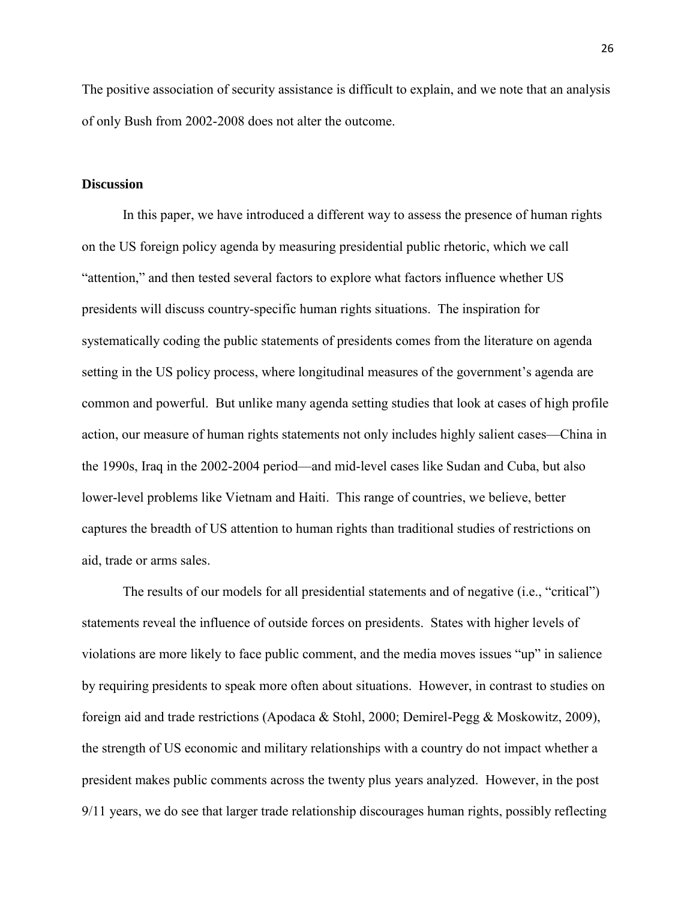The positive association of security assistance is difficult to explain, and we note that an analysis of only Bush from 2002-2008 does not alter the outcome.

### **Discussion**

In this paper, we have introduced a different way to assess the presence of human rights on the US foreign policy agenda by measuring presidential public rhetoric, which we call "attention," and then tested several factors to explore what factors influence whether US presidents will discuss country-specific human rights situations. The inspiration for systematically coding the public statements of presidents comes from the literature on agenda setting in the US policy process, where longitudinal measures of the government's agenda are common and powerful. But unlike many agenda setting studies that look at cases of high profile action, our measure of human rights statements not only includes highly salient cases—China in the 1990s, Iraq in the 2002-2004 period—and mid-level cases like Sudan and Cuba, but also lower-level problems like Vietnam and Haiti. This range of countries, we believe, better captures the breadth of US attention to human rights than traditional studies of restrictions on aid, trade or arms sales.

 The results of our models for all presidential statements and of negative (i.e., "critical") statements reveal the influence of outside forces on presidents. States with higher levels of violations are more likely to face public comment, and the media moves issues "up" in salience by requiring presidents to speak more often about situations. However, in contrast to studies on foreign aid and trade restrictions (Apodaca & Stohl, 2000; Demirel-Pegg & Moskowitz, 2009), the strength of US economic and military relationships with a country do not impact whether a president makes public comments across the twenty plus years analyzed. However, in the post 9/11 years, we do see that larger trade relationship discourages human rights, possibly reflecting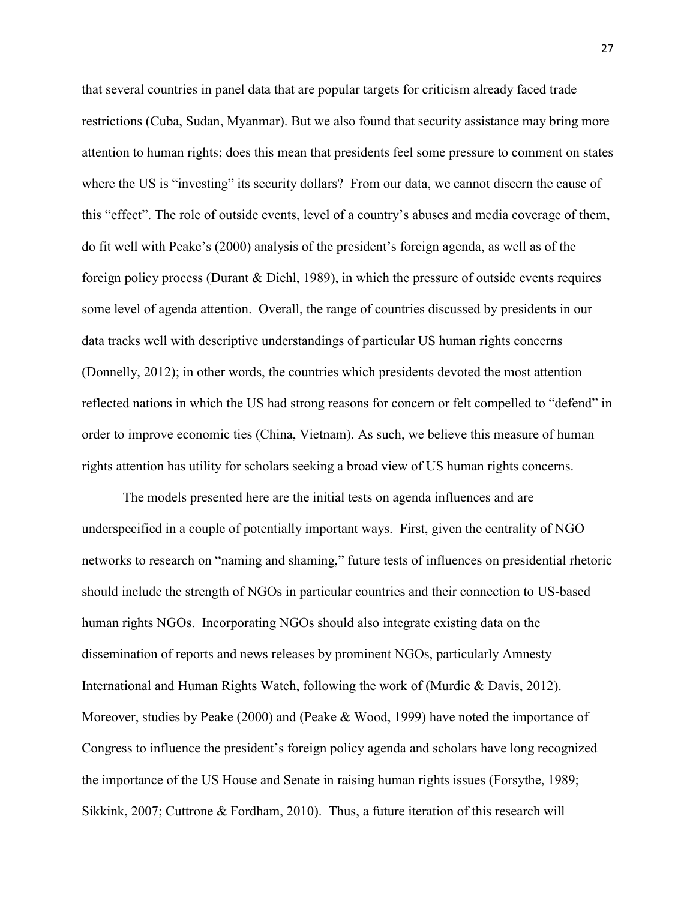that several countries in panel data that are popular targets for criticism already faced trade restrictions (Cuba, Sudan, Myanmar). But we also found that security assistance may bring more attention to human rights; does this mean that presidents feel some pressure to comment on states where the US is "investing" its security dollars? From our data, we cannot discern the cause of this "effect". The role of outside events, level of a country's abuses and media coverage of them, do fit well with Peake's (2000) analysis of the president's foreign agenda, as well as of the foreign policy process (Durant & Diehl, 1989), in which the pressure of outside events requires some level of agenda attention. Overall, the range of countries discussed by presidents in our data tracks well with descriptive understandings of particular US human rights concerns (Donnelly, 2012); in other words, the countries which presidents devoted the most attention reflected nations in which the US had strong reasons for concern or felt compelled to "defend" in order to improve economic ties (China, Vietnam). As such, we believe this measure of human rights attention has utility for scholars seeking a broad view of US human rights concerns.

 The models presented here are the initial tests on agenda influences and are underspecified in a couple of potentially important ways. First, given the centrality of NGO networks to research on "naming and shaming," future tests of influences on presidential rhetoric should include the strength of NGOs in particular countries and their connection to US-based human rights NGOs. Incorporating NGOs should also integrate existing data on the dissemination of reports and news releases by prominent NGOs, particularly Amnesty International and Human Rights Watch, following the work of (Murdie & Davis, 2012). Moreover, studies by Peake (2000) and (Peake & Wood, 1999) have noted the importance of Congress to influence the president's foreign policy agenda and scholars have long recognized the importance of the US House and Senate in raising human rights issues (Forsythe, 1989; Sikkink, 2007; Cuttrone & Fordham, 2010). Thus, a future iteration of this research will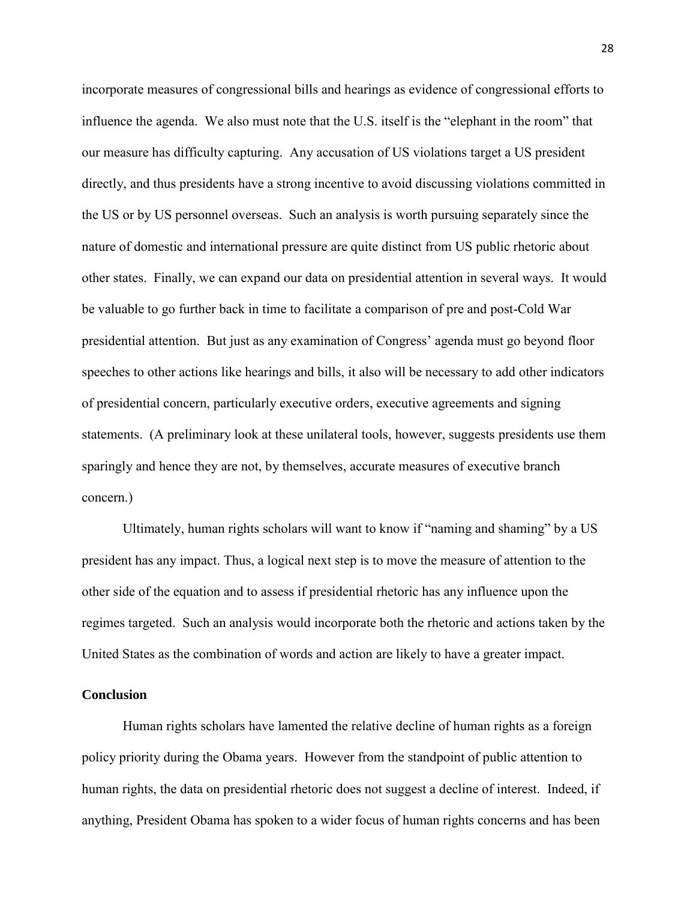incorporate measures of congressional bills and hearings as evidence of congressional efforts to influence the agenda. We also must note that the U.S. itself is the "elephant in the room" that our measure has difficulty capturing. Any accusation of US violations target a US president directly, and thus presidents have a strong incentive to avoid discussing violations committed in the US or by US personnel overseas. Such an analysis is worth pursuing separately since the nature of domestic and international pressure are quite distinct from US public rhetoric about other states. Finally, we can expand our data on presidential attention in several ways. It would be valuable to go further back in time to facilitate a comparison of pre and post-Cold War presidential attention. But just as any examination of Congress' agenda must go beyond floor speeches to other actions like hearings and bills, it also will be necessary to add other indicators of presidential concern, particularly executive orders, executive agreements and signing statements. (A preliminary look at these unilateral tools, however, suggests presidents use them sparingly and hence they are not, by themselves, accurate measures of executive branch concern.)

 Ultimately, human rights scholars will want to know if "naming and shaming" by a US president has any impact. Thus, a logical next step is to move the measure of attention to the other side of the equation and to assess if presidential rhetoric has any influence upon the regimes targeted. Such an analysis would incorporate both the rhetoric and actions taken by the United States as the combination of words and action are likely to have a greater impact.

### **Conclusion**

Human rights scholars have lamented the relative decline of human rights as a foreign policy priority during the Obama years. However from the standpoint of public attention to human rights, the data on presidential rhetoric does not suggest a decline of interest. Indeed, if anything, President Obama has spoken to a wider focus of human rights concerns and has been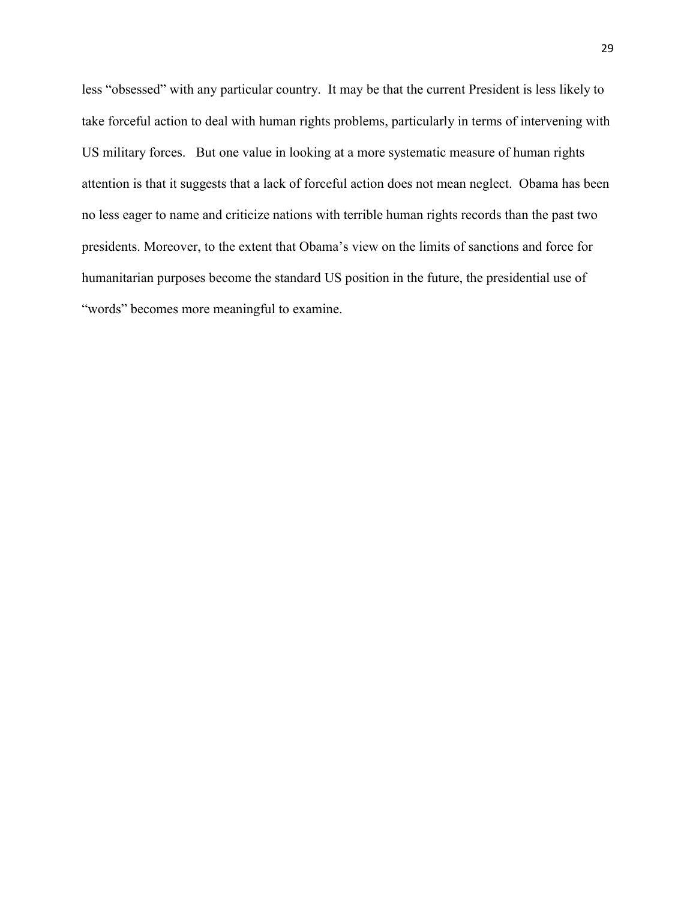less "obsessed" with any particular country. It may be that the current President is less likely to take forceful action to deal with human rights problems, particularly in terms of intervening with US military forces. But one value in looking at a more systematic measure of human rights attention is that it suggests that a lack of forceful action does not mean neglect. Obama has been no less eager to name and criticize nations with terrible human rights records than the past two presidents. Moreover, to the extent that Obama's view on the limits of sanctions and force for humanitarian purposes become the standard US position in the future, the presidential use of "words" becomes more meaningful to examine.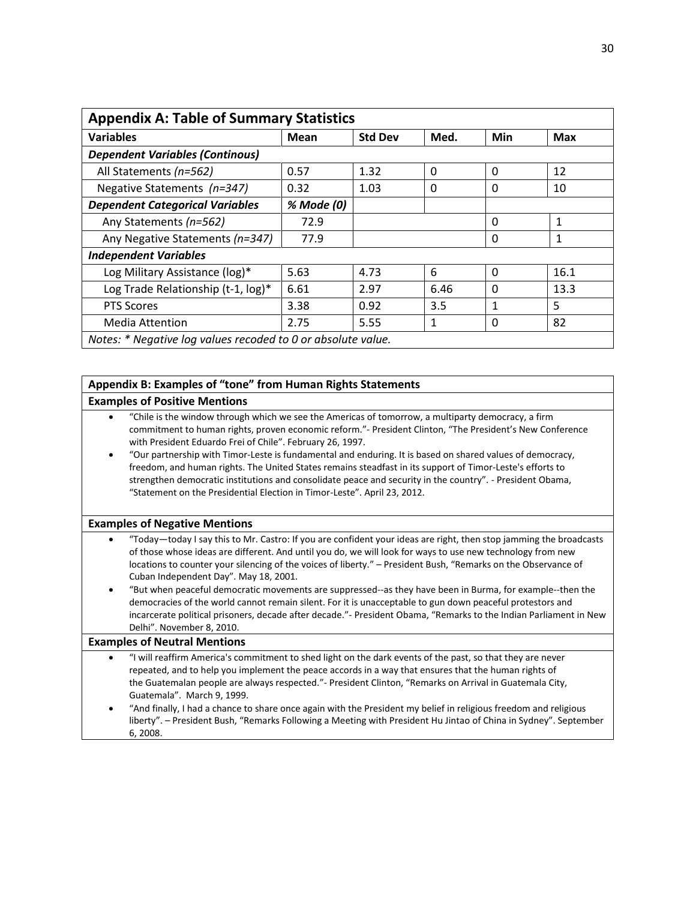| <b>Appendix A: Table of Summary Statistics</b>               |            |                |              |          |              |  |  |
|--------------------------------------------------------------|------------|----------------|--------------|----------|--------------|--|--|
| <b>Variables</b>                                             | Mean       | <b>Std Dev</b> | Med.         | Min      | <b>Max</b>   |  |  |
| <b>Dependent Variables (Continous)</b>                       |            |                |              |          |              |  |  |
| All Statements (n=562)                                       | 0.57       | 1.32           | $\Omega$     | $\Omega$ | 12           |  |  |
| Negative Statements (n=347)                                  | 0.32       | 1.03           | $\Omega$     | 0        | 10           |  |  |
| <b>Dependent Categorical Variables</b>                       | % Mode (0) |                |              |          |              |  |  |
| Any Statements (n=562)                                       | 72.9       |                |              | 0        | $\mathbf{1}$ |  |  |
| Any Negative Statements (n=347)                              | 77.9       |                |              | 0        | 1            |  |  |
| <b>Independent Variables</b>                                 |            |                |              |          |              |  |  |
| Log Military Assistance (log)*                               | 5.63       | 4.73           | 6            | $\Omega$ | 16.1         |  |  |
| Log Trade Relationship (t-1, log)*                           | 6.61       | 2.97           | 6.46         | 0        | 13.3         |  |  |
| <b>PTS Scores</b>                                            | 3.38       | 0.92           | 3.5          | 1        | 5            |  |  |
| <b>Media Attention</b>                                       | 2.75       | 5.55           | $\mathbf{1}$ | 0        | 82           |  |  |
| Notes: * Negative log values recoded to 0 or absolute value. |            |                |              |          |              |  |  |

### **Appendix B: Examples of "tone" from Human Rights Statements Examples of Positive Mentions**

#### "Chile is the window through which we see the Americas of tomorrow, a multiparty democracy, a firm commitment to human rights, proven economic reform."- President Clinton, "The President's New Conference with President Eduardo Frei of Chile". February 26, 1997.

 "Our partnership with Timor-Leste is fundamental and enduring. It is based on shared values of democracy, freedom, and human rights. The United States remains steadfast in its support of Timor-Leste's efforts to strengthen democratic institutions and consolidate peace and security in the country". - President Obama, "Statement on the Presidential Election in Timor-Leste". April 23, 2012.

### **Examples of Negative Mentions**

- "Today—today I say this to Mr. Castro: If you are confident your ideas are right, then stop jamming the broadcasts of those whose ideas are different. And until you do, we will look for ways to use new technology from new locations to counter your silencing of the voices of liberty." – President Bush, "Remarks on the Observance of Cuban Independent Day". May 18, 2001.
- "But when peaceful democratic movements are suppressed--as they have been in Burma, for example--then the democracies of the world cannot remain silent. For it is unacceptable to gun down peaceful protestors and incarcerate political prisoners, decade after decade."- President Obama, "Remarks to the Indian Parliament in New Delhi". November 8, 2010.

#### **Examples of Neutral Mentions**

- "I will reaffirm America's commitment to shed light on the dark events of the past, so that they are never repeated, and to help you implement the peace accords in a way that ensures that the human rights of the Guatemalan people are always respected."- President Clinton, "Remarks on Arrival in Guatemala City, Guatemala". March 9, 1999.
- "And finally, I had a chance to share once again with the President my belief in religious freedom and religious liberty". – President Bush, "Remarks Following a Meeting with President Hu Jintao of China in Sydney". September 6, 2008.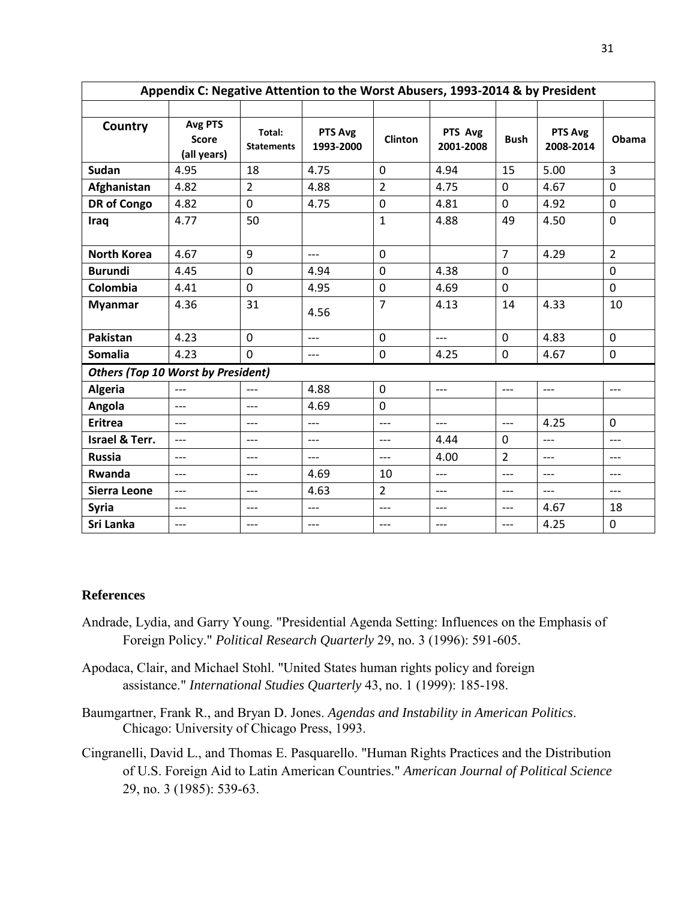| Appendix C: Negative Attention to the Worst Abusers, 1993-2014 & by President |                                        |                             |                      |                |                      |                |                      |                |  |
|-------------------------------------------------------------------------------|----------------------------------------|-----------------------------|----------------------|----------------|----------------------|----------------|----------------------|----------------|--|
|                                                                               |                                        |                             |                      |                |                      |                |                      |                |  |
| Country                                                                       | Avg PTS<br><b>Score</b><br>(all years) | Total:<br><b>Statements</b> | PTS Avg<br>1993-2000 | <b>Clinton</b> | PTS Avg<br>2001-2008 | <b>Bush</b>    | PTS Avg<br>2008-2014 | Obama          |  |
| Sudan                                                                         | 4.95                                   | 18                          | 4.75                 | $\mathbf 0$    | 4.94                 | 15             | 5.00                 | $\overline{3}$ |  |
| Afghanistan                                                                   | 4.82                                   | $\overline{2}$              | 4.88                 | $\overline{2}$ | 4.75                 | $\mathbf 0$    | 4.67                 | $\mathbf 0$    |  |
| <b>DR</b> of Congo                                                            | 4.82                                   | 0                           | 4.75                 | $\mathbf 0$    | 4.81                 | $\mathbf 0$    | 4.92                 | $\mathbf 0$    |  |
| Iraq                                                                          | 4.77                                   | 50                          |                      | $\mathbf{1}$   | 4.88                 | 49             | 4.50                 | $\mathbf 0$    |  |
| <b>North Korea</b>                                                            | 4.67                                   | 9                           | $---$                | $\mathbf 0$    |                      | $\overline{7}$ | 4.29                 | $\overline{2}$ |  |
| <b>Burundi</b>                                                                | 4.45                                   | $\mathbf 0$                 | 4.94                 | $\mathbf 0$    | 4.38                 | $\mathbf 0$    |                      | $\mathbf 0$    |  |
| Colombia                                                                      | 4.41                                   | $\mathbf 0$                 | 4.95                 | 0              | 4.69                 | $\mathbf 0$    |                      | $\mathbf 0$    |  |
| <b>Myanmar</b>                                                                | 4.36                                   | 31                          | 4.56                 | $\overline{7}$ | 4.13                 | 14             | 4.33                 | 10             |  |
| Pakistan                                                                      | 4.23                                   | $\mathbf 0$                 | $---$                | $\mathbf 0$    | $---$                | $\mathbf 0$    | 4.83                 | $\mathbf 0$    |  |
| Somalia                                                                       | 4.23                                   | $\overline{0}$              | $---$                | $\pmb{0}$      | 4.25                 | $\mathbf 0$    | 4.67                 | $\mathbf 0$    |  |
| <b>Others (Top 10 Worst by President)</b>                                     |                                        |                             |                      |                |                      |                |                      |                |  |
| Algeria                                                                       | $---$                                  | ---                         | 4.88                 | $\mathbf 0$    | $---$                | $---$          | ---                  | ---            |  |
| Angola                                                                        | $---$                                  | ---                         | 4.69                 | $\mathbf 0$    |                      |                |                      |                |  |
| <b>Eritrea</b>                                                                | $---$                                  | $---$                       | $---$                | $---$          | $---$                | $---$          | 4.25                 | $\mathbf 0$    |  |
| Israel & Terr.                                                                | $---$                                  | $---$                       | $---$                | $---$          | 4.44                 | $\Omega$       | $---$                | $---$          |  |
| <b>Russia</b>                                                                 | $---$                                  | $---$                       | $---$                | $---$          | 4.00                 | $\overline{2}$ | $---$                | $---$          |  |
| Rwanda                                                                        | $---$                                  | $---$                       | 4.69                 | 10             | $---$                | $---$          | $---$                | ---            |  |
| <b>Sierra Leone</b>                                                           | $---$                                  | ---                         | 4.63                 | $\overline{2}$ | $---$                | $---$          | $---$                | $---$          |  |
| <b>Syria</b>                                                                  | $---$                                  | $---$                       | $---$                | $---$          | $---$                | $---$          | 4.67                 | 18             |  |
| Sri Lanka                                                                     | $---$                                  | $---$                       | $---$                | $---$          | $---$                | $---$          | 4.25                 | 0              |  |

# **References**

- Andrade, Lydia, and Garry Young. "Presidential Agenda Setting: Influences on the Emphasis of Foreign Policy." *Political Research Quarterly* 29, no. 3 (1996): 591-605.
- Apodaca, Clair, and Michael Stohl. "United States human rights policy and foreign assistance." *International Studies Quarterly* 43, no. 1 (1999): 185-198.
- Baumgartner, Frank R., and Bryan D. Jones. *Agendas and Instability in American Politics*. Chicago: University of Chicago Press, 1993.
- Cingranelli, David L., and Thomas E. Pasquarello. "Human Rights Practices and the Distribution of U.S. Foreign Aid to Latin American Countries." *American Journal of Political Science* 29, no. 3 (1985): 539-63.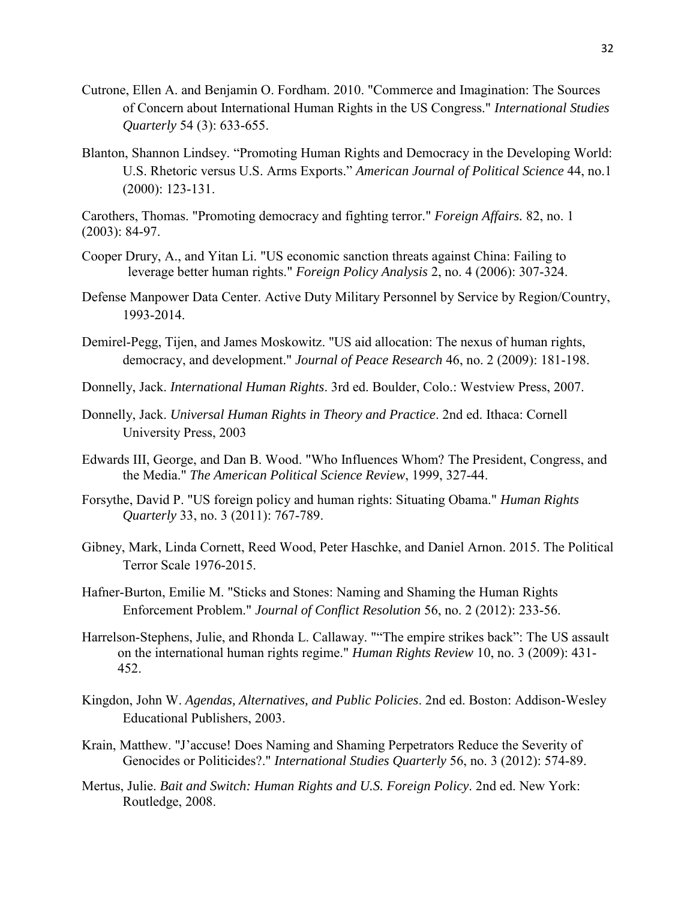- Cutrone, Ellen A. and Benjamin O. Fordham. 2010. "Commerce and Imagination: The Sources of Concern about International Human Rights in the US Congress." *International Studies Quarterly* 54 (3): 633-655.
- Blanton, Shannon Lindsey. "Promoting Human Rights and Democracy in the Developing World: U.S. Rhetoric versus U.S. Arms Exports." *American Journal of Political Science* 44, no.1 (2000): 123-131.

Carothers, Thomas. "Promoting democracy and fighting terror." *Foreign Affairs.* 82, no. 1 (2003): 84-97.

- Cooper Drury, A., and Yitan Li. "US economic sanction threats against China: Failing to leverage better human rights." *Foreign Policy Analysis* 2, no. 4 (2006): 307-324.
- Defense Manpower Data Center. Active Duty Military Personnel by Service by Region/Country, 1993-2014.
- Demirel-Pegg, Tijen, and James Moskowitz. "US aid allocation: The nexus of human rights, democracy, and development." *Journal of Peace Research* 46, no. 2 (2009): 181-198.
- Donnelly, Jack. *International Human Rights*. 3rd ed. Boulder, Colo.: Westview Press, 2007.
- Donnelly, Jack. *Universal Human Rights in Theory and Practice*. 2nd ed. Ithaca: Cornell University Press, 2003
- Edwards III, George, and Dan B. Wood. "Who Influences Whom? The President, Congress, and the Media." *The American Political Science Review*, 1999, 327-44.
- Forsythe, David P. "US foreign policy and human rights: Situating Obama." *Human Rights Quarterly* 33, no. 3 (2011): 767-789.
- Gibney, Mark, Linda Cornett, Reed Wood, Peter Haschke, and Daniel Arnon. 2015. The Political Terror Scale 1976-2015.
- Hafner-Burton, Emilie M. "Sticks and Stones: Naming and Shaming the Human Rights Enforcement Problem." *Journal of Conflict Resolution* 56, no. 2 (2012): 233-56.
- Harrelson-Stephens, Julie, and Rhonda L. Callaway. ""The empire strikes back": The US assault on the international human rights regime." *Human Rights Review* 10, no. 3 (2009): 431- 452.
- Kingdon, John W. *Agendas, Alternatives, and Public Policies*. 2nd ed. Boston: Addison-Wesley Educational Publishers, 2003.
- Krain, Matthew. "J'accuse! Does Naming and Shaming Perpetrators Reduce the Severity of Genocides or Politicides?." *International Studies Quarterly* 56, no. 3 (2012): 574-89.
- Mertus, Julie. *Bait and Switch: Human Rights and U.S. Foreign Policy*. 2nd ed. New York: Routledge, 2008.